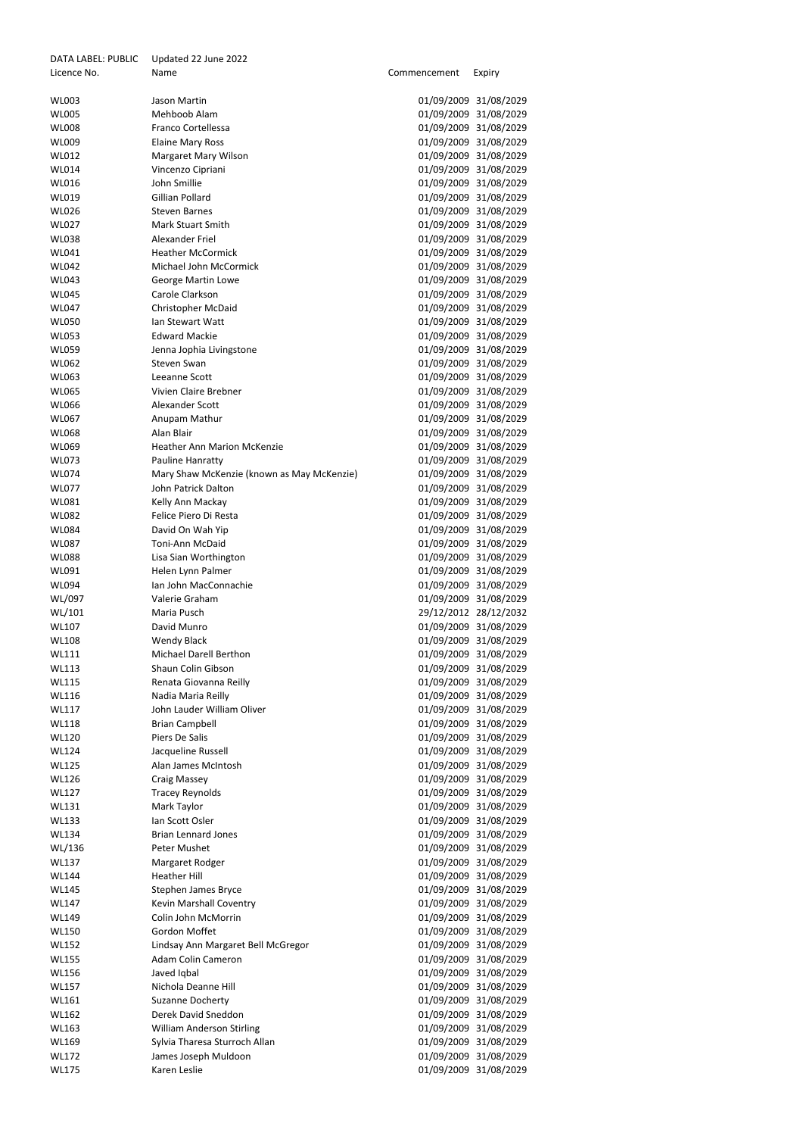| DATA LABEL: PUBLIC | Updated 22 June 2022                       |              |                       |
|--------------------|--------------------------------------------|--------------|-----------------------|
| Licence No.        | Name                                       | Commencement | Expiry                |
|                    |                                            |              |                       |
| <b>WL003</b>       | Jason Martin                               |              | 01/09/2009 31/08/2029 |
| <b>WL005</b>       | Mehboob Alam                               | 01/09/2009   | 31/08/2029            |
| <b>WL008</b>       | Franco Cortellessa                         | 01/09/2009   | 31/08/2029            |
| <b>WL009</b>       | <b>Elaine Mary Ross</b>                    | 01/09/2009   | 31/08/2029            |
| <b>WL012</b>       | Margaret Mary Wilson                       | 01/09/2009   | 31/08/2029            |
| <b>WL014</b>       | Vincenzo Cipriani                          |              | 01/09/2009 31/08/2029 |
| <b>WL016</b>       | <b>John Smillie</b>                        | 01/09/2009   | 31/08/2029            |
| <b>WL019</b>       | Gillian Pollard                            |              | 01/09/2009 31/08/2029 |
| <b>WL026</b>       | <b>Steven Barnes</b>                       | 01/09/2009   | 31/08/2029            |
| <b>WL027</b>       | <b>Mark Stuart Smith</b>                   | 01/09/2009   | 31/08/2029            |
| <b>WL038</b>       | Alexander Friel                            | 01/09/2009   | 31/08/2029            |
| <b>WL041</b>       | <b>Heather McCormick</b>                   | 01/09/2009   | 31/08/2029            |
| <b>WL042</b>       | Michael John McCormick                     | 01/09/2009   | 31/08/2029            |
| <b>WL043</b>       | <b>George Martin Lowe</b>                  | 01/09/2009   | 31/08/2029            |
| <b>WL045</b>       | Carole Clarkson                            |              | 01/09/2009 31/08/2029 |
| <b>WL047</b>       | <b>Christopher McDaid</b>                  | 01/09/2009   | 31/08/2029            |
| <b>WL050</b>       | Ian Stewart Watt                           | 01/09/2009   | 31/08/2029            |
| <b>WL053</b>       | <b>Edward Mackie</b>                       | 01/09/2009   | 31/08/2029            |
| <b>WL059</b>       | Jenna Jophia Livingstone                   | 01/09/2009   | 31/08/2029            |
| <b>WL062</b>       | <b>Steven Swan</b>                         |              | 01/09/2009 31/08/2029 |
| <b>WL063</b>       | Leeanne Scott                              | 01/09/2009   | 31/08/2029            |
|                    |                                            |              |                       |
| <b>WL065</b>       | Vivien Claire Brebner                      | 01/09/2009   | 31/08/2029            |
| <b>WL066</b>       | Alexander Scott                            | 01/09/2009   | 31/08/2029            |
| <b>WL067</b>       | Anupam Mathur                              | 01/09/2009   | 31/08/2029            |
| <b>WL068</b>       | Alan Blair                                 |              | 01/09/2009 31/08/2029 |
| <b>WL069</b>       | <b>Heather Ann Marion McKenzie</b>         | 01/09/2009   | 31/08/2029            |
| <b>WL073</b>       | Pauline Hanratty                           |              | 01/09/2009 31/08/2029 |
| <b>WL074</b>       | Mary Shaw McKenzie (known as May McKenzie) | 01/09/2009   | 31/08/2029            |
| <b>WL077</b>       | John Patrick Dalton                        |              | 01/09/2009 31/08/2029 |
| <b>WL081</b>       | Kelly Ann Mackay                           |              | 01/09/2009 31/08/2029 |
| <b>WL082</b>       | Felice Piero Di Resta                      | 01/09/2009   | 31/08/2029            |
| <b>WL084</b>       | David On Wah Yip                           |              | 01/09/2009 31/08/2029 |
| <b>WL087</b>       | Toni-Ann McDaid                            | 01/09/2009   | 31/08/2029            |
| <b>WL088</b>       | Lisa Sian Worthington                      |              | 01/09/2009 31/08/2029 |
| WL091              | Helen Lynn Palmer                          | 01/09/2009   | 31/08/2029            |
| <b>WL094</b>       | Ian John MacConnachie                      | 01/09/2009   | 31/08/2029            |
| WL/097             | Valerie Graham                             |              | 01/09/2009 31/08/2029 |
| WL/101             | Maria Pusch                                |              | 29/12/2012 28/12/2032 |
| <b>WL107</b>       | David Munro                                |              | 01/09/2009 31/08/2029 |
| <b>WL108</b>       | <b>Wendy Black</b>                         | 01/09/2009   | 31/08/2029            |
| <b>WL111</b>       | <b>Michael Darell Berthon</b>              | 01/09/2009   | 31/08/2029            |
| <b>WL113</b>       | Shaun Colin Gibson                         |              | 01/09/2009 31/08/2029 |
| <b>WL115</b>       | Renata Giovanna Reilly                     |              | 01/09/2009 31/08/2029 |
| <b>WL116</b>       | Nadia Maria Reilly                         |              | 01/09/2009 31/08/2029 |
| <b>WL117</b>       | John Lauder William Oliver                 | 01/09/2009   | 31/08/2029            |
| <b>WL118</b>       | <b>Brian Campbell</b>                      |              | 01/09/2009 31/08/2029 |
| <b>WL120</b>       | Piers De Salis                             | 01/09/2009   | 31/08/2029            |
| <b>WL124</b>       | Jacqueline Russell                         |              | 01/09/2009 31/08/2029 |
| <b>WL125</b>       | Alan James McIntosh                        | 01/09/2009   | 31/08/2029            |
| <b>WL126</b>       | <b>Craig Massey</b>                        | 01/09/2009   | 31/08/2029            |
| <b>WL127</b>       | <b>Tracey Reynolds</b>                     |              | 01/09/2009 31/08/2029 |
| <b>WL131</b>       | Mark Taylor                                | 01/09/2009   | 31/08/2029            |
| <b>WL133</b>       | Ian Scott Osler                            |              | 01/09/2009 31/08/2029 |
| <b>WL134</b>       | <b>Brian Lennard Jones</b>                 | 01/09/2009   | 31/08/2029            |
| WL/136             | Peter Mushet                               | 01/09/2009   | 31/08/2029            |
| <b>WL137</b>       | Margaret Rodger                            |              | 01/09/2009 31/08/2029 |
| <b>WL144</b>       | <b>Heather Hill</b>                        | 01/09/2009   | 31/08/2029            |
| <b>WL145</b>       | <b>Stephen James Bryce</b>                 |              | 01/09/2009 31/08/2029 |
| <b>WL147</b>       | Kevin Marshall Coventry                    |              | 01/09/2009 31/08/2029 |
| <b>WL149</b>       | Colin John McMorrin                        |              | 01/09/2009 31/08/2029 |
| <b>WL150</b>       | Gordon Moffet                              |              | 01/09/2009 31/08/2029 |
| <b>WL152</b>       |                                            |              | 01/09/2009 31/08/2029 |
|                    | Lindsay Ann Margaret Bell McGregor         |              |                       |
| <b>WL155</b>       | <b>Adam Colin Cameron</b>                  |              | 01/09/2009 31/08/2029 |
| <b>WL156</b>       | Javed Iqbal                                |              | 01/09/2009 31/08/2029 |
| <b>WL157</b>       | Nichola Deanne Hill                        |              | 01/09/2009 31/08/2029 |
| <b>WL161</b>       | Suzanne Docherty                           | 01/09/2009   | 31/08/2029            |
| <b>WL162</b>       | Derek David Sneddon                        | 01/09/2009   | 31/08/2029            |
| <b>WL163</b>       | <b>William Anderson Stirling</b>           |              | 01/09/2009 31/08/2029 |
| <b>WL169</b>       | Sylvia Tharesa Sturroch Allan              | 01/09/2009   | 31/08/2029            |
| <b>WL172</b>       | James Joseph Muldoon                       |              | 01/09/2009 31/08/2029 |
| <b>WL175</b>       | Karen Leslie                               |              | 01/09/2009 31/08/2029 |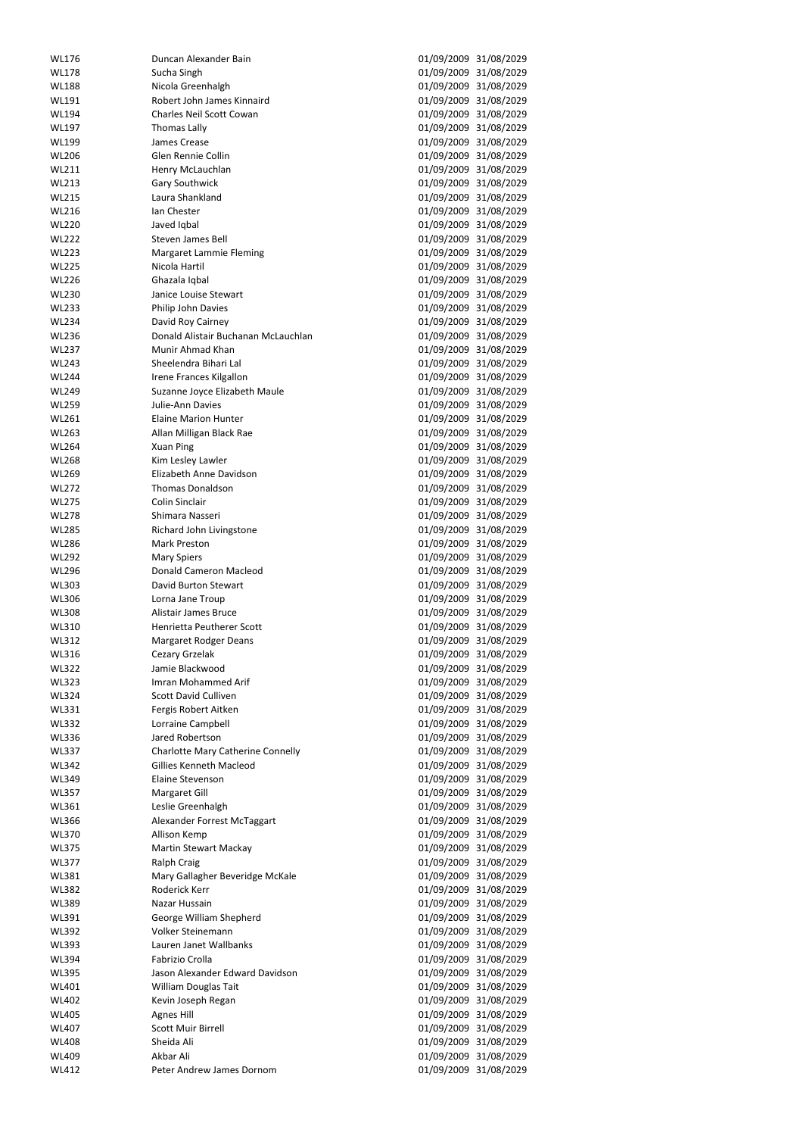| <b>WL176</b>                 | Duncan Alexander Bain                  | 01/09/2009 | 31/08/2029                                     |
|------------------------------|----------------------------------------|------------|------------------------------------------------|
| <b>WL178</b>                 | Sucha Singh                            | 01/09/2009 | 31/08/2029                                     |
| <b>WL188</b>                 | Nicola Greenhalgh                      | 01/09/2009 | 31/08/2029                                     |
|                              |                                        |            |                                                |
| <b>WL191</b>                 | Robert John James Kinnaird             | 01/09/2009 | 31/08/2029                                     |
| <b>WL194</b>                 | Charles Neil Scott Cowan               | 01/09/2009 | 31/08/2029                                     |
| <b>WL197</b>                 | Thomas Lally                           | 01/09/2009 | 31/08/2029                                     |
| <b>WL199</b>                 | James Crease                           | 01/09/2009 | 31/08/2029                                     |
| <b>WL206</b>                 | Glen Rennie Collin                     | 01/09/2009 | 31/08/2029                                     |
| <b>WL211</b>                 | Henry McLauchlan                       | 01/09/2009 | 31/08/2029                                     |
| <b>WL213</b>                 | <b>Gary Southwick</b>                  | 01/09/2009 | 31/08/2029                                     |
| <b>WL215</b>                 | Laura Shankland                        |            | 01/09/2009 31/08/2029                          |
|                              | Ian Chester                            |            |                                                |
| <b>WL216</b>                 |                                        | 01/09/2009 | 31/08/2029                                     |
| <b>WL220</b>                 | Javed Iqbal                            | 01/09/2009 | 31/08/2029                                     |
| <b>WL222</b>                 | <b>Steven James Bell</b>               |            | 01/09/2009 31/08/2029                          |
| <b>WL223</b>                 | Margaret Lammie Fleming                | 01/09/2009 | 31/08/2029                                     |
| <b>WL225</b>                 | Nicola Hartil                          | 01/09/2009 | 31/08/2029                                     |
| <b>WL226</b>                 | Ghazala Iqbal                          | 01/09/2009 | 31/08/2029                                     |
| <b>WL230</b>                 | Janice Louise Stewart                  | 01/09/2009 | 31/08/2029                                     |
| <b>WL233</b>                 | Philip John Davies                     |            | 01/09/2009 31/08/2029                          |
| <b>WL234</b>                 | David Roy Cairney                      | 01/09/2009 | 31/08/2029                                     |
|                              |                                        |            |                                                |
| <b>WL236</b>                 | Donald Alistair Buchanan McLauchlan    | 01/09/2009 | 31/08/2029                                     |
| <b>WL237</b>                 | Munir Ahmad Khan                       | 01/09/2009 | 31/08/2029                                     |
| <b>WL243</b>                 | Sheelendra Bihari Lal                  | 01/09/2009 | 31/08/2029                                     |
| <b>WL244</b>                 | Irene Frances Kilgallon                | 01/09/2009 | 31/08/2029                                     |
| <b>WL249</b>                 | Suzanne Joyce Elizabeth Maule          | 01/09/2009 | 31/08/2029                                     |
| <b>WL259</b>                 | Julie-Ann Davies                       |            | 01/09/2009 31/08/2029                          |
| <b>WL261</b>                 | <b>Elaine Marion Hunter</b>            | 01/09/2009 | 31/08/2029                                     |
| <b>WL263</b>                 |                                        |            |                                                |
|                              | Allan Milligan Black Rae               | 01/09/2009 | 31/08/2029                                     |
| <b>WL264</b>                 | <b>Xuan Ping</b>                       | 01/09/2009 | 31/08/2029                                     |
| <b>WL268</b>                 | Kim Lesley Lawler                      | 01/09/2009 | 31/08/2029                                     |
| <b>WL269</b>                 | Elizabeth Anne Davidson                | 01/09/2009 | 31/08/2029                                     |
| <b>WL272</b>                 | <b>Thomas Donaldson</b>                | 01/09/2009 | 31/08/2029                                     |
| <b>WL275</b>                 | Colin Sinclair                         |            | 01/09/2009 31/08/2029                          |
| <b>WL278</b>                 | Shimara Nasseri                        | 01/09/2009 | 31/08/2029                                     |
| <b>WL285</b>                 | Richard John Livingstone               | 01/09/2009 | 31/08/2029                                     |
| <b>WL286</b>                 | <b>Mark Preston</b>                    | 01/09/2009 | 31/08/2029                                     |
|                              |                                        |            |                                                |
| <b>WL292</b>                 | <b>Mary Spiers</b>                     | 01/09/2009 | 31/08/2029                                     |
| <b>WL296</b>                 | <b>Donald Cameron Macleod</b>          | 01/09/2009 | 31/08/2029                                     |
| <b>WL303</b>                 | David Burton Stewart                   | 01/09/2009 | 31/08/2029                                     |
| <b>WL306</b>                 | Lorna Jane Troup                       | 01/09/2009 | 31/08/2029                                     |
| <b>WL308</b>                 | Alistair James Bruce                   | 01/09/2009 | 31/08/2029                                     |
| WL310                        | Henrietta Peutherer Scott              |            | 01/09/2009 31/08/2029                          |
| <b>WL312</b>                 | <b>Margaret Rodger Deans</b>           | 01/09/2009 | 31/08/2029                                     |
| <b>WL316</b>                 | Cezary Grzelak                         | 01/09/2009 | 31/08/2029                                     |
| <b>WL322</b>                 | Jamie Blackwood                        |            | 01/09/2009 31/08/2029                          |
|                              | Imran Mohammed Arif                    |            |                                                |
| <b>WL323</b>                 |                                        | 01/09/2009 | 31/08/2029                                     |
| <b>WL324</b>                 | <b>Scott David Culliven</b>            |            | 01/09/2009 31/08/2029                          |
| <b>WL331</b>                 | Fergis Robert Aitken                   | 01/09/2009 | 31/08/2029                                     |
| <b>WL332</b>                 | Lorraine Campbell                      | 01/09/2009 | 31/08/2029                                     |
| <b>WL336</b>                 | Jared Robertson                        |            | 01/09/2009 31/08/2029                          |
| <b>WL337</b>                 | Charlotte Mary Catherine Connelly      | 01/09/2009 | 31/08/2029                                     |
| <b>WL342</b>                 | <b>Gillies Kenneth Macleod</b>         | 01/09/2009 | 31/08/2029                                     |
| <b>WL349</b>                 | <b>Elaine Stevenson</b>                | 01/09/2009 | 31/08/2029                                     |
| <b>WL357</b>                 | Margaret Gill                          | 01/09/2009 | 31/08/2029                                     |
|                              |                                        |            |                                                |
| WL361                        | Leslie Greenhalgh                      | 01/09/2009 | 31/08/2029                                     |
| <b>WL366</b>                 | Alexander Forrest McTaggart            | 01/09/2009 | 31/08/2029                                     |
| <b>WL370</b>                 | Allison Kemp                           | 01/09/2009 | 31/08/2029                                     |
| <b>WL375</b>                 | <b>Martin Stewart Mackay</b>           | 01/09/2009 | 31/08/2029                                     |
| <b>WL377</b>                 | <b>Ralph Craig</b>                     | 01/09/2009 | 31/08/2029                                     |
| <b>WL381</b>                 | Mary Gallagher Beveridge McKale        | 01/09/2009 | 31/08/2029                                     |
| <b>WL382</b>                 | Roderick Kerr                          | 01/09/2009 | 31/08/2029                                     |
| <b>WL389</b>                 | Nazar Hussain                          | 01/09/2009 | 31/08/2029                                     |
| WL391                        | George William Shepherd                |            | 01/09/2009 31/08/2029                          |
|                              |                                        |            |                                                |
| <b>WL392</b>                 | Volker Steinemann                      |            | 01/09/2009 31/08/2029                          |
| <b>WL393</b>                 | Lauren Janet Wallbanks                 |            | 01/09/2009 31/08/2029                          |
| <b>WL394</b>                 | Fabrizio Crolla                        |            | 01/09/2009 31/08/2029                          |
| <b>WL395</b>                 | Jason Alexander Edward Davidson        |            | 01/09/2009 31/08/2029                          |
| <b>WL401</b>                 | <b>William Douglas Tait</b>            |            | 01/09/2009 31/08/2029                          |
| <b>WL402</b>                 | Kevin Joseph Regan                     |            | 01/09/2009 31/08/2029                          |
| <b>WL405</b>                 |                                        |            | 31/08/2029                                     |
|                              |                                        |            |                                                |
|                              | <b>Agnes Hill</b>                      | 01/09/2009 |                                                |
| <b>WL407</b>                 | <b>Scott Muir Birrell</b>              |            | 01/09/2009 31/08/2029                          |
| <b>WL408</b>                 | Sheida Ali                             |            | 01/09/2009 31/08/2029                          |
| <b>WL409</b><br><b>WL412</b> | Akbar Ali<br>Peter Andrew James Dornom |            | 01/09/2009 31/08/2029<br>01/09/2009 31/08/2029 |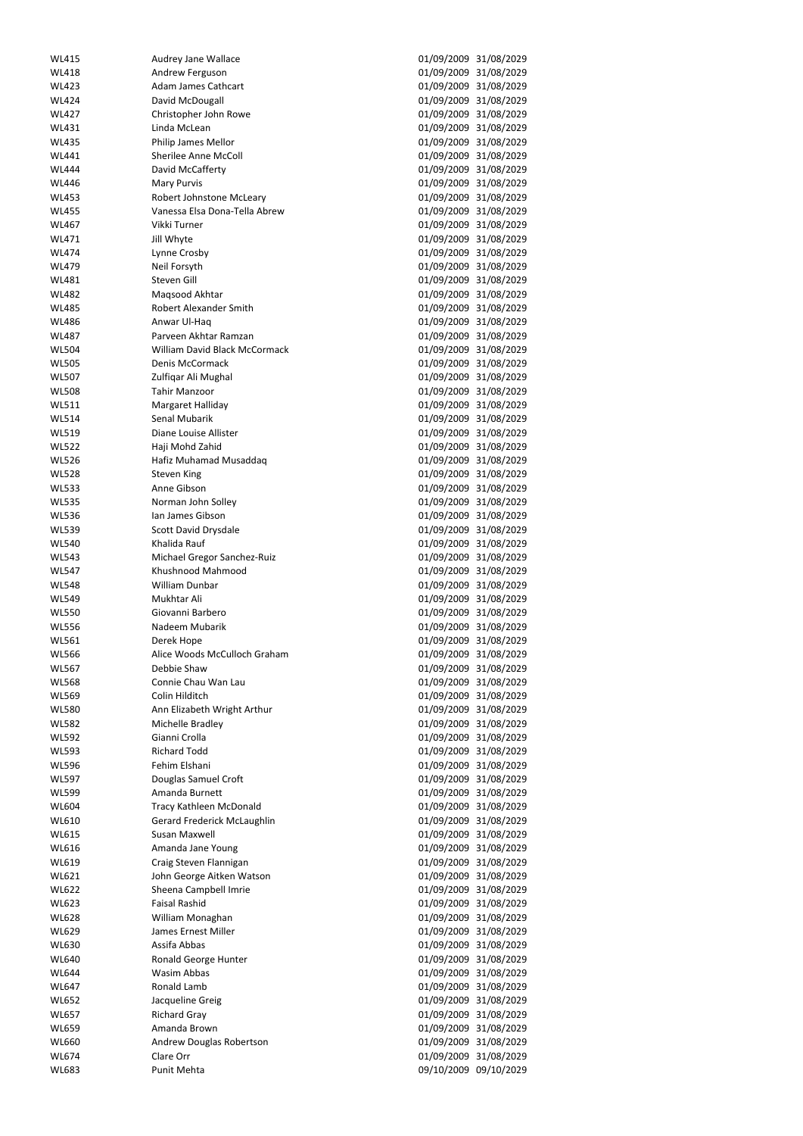| <b>WL415</b>          | <b>Audrey Jane Wallace</b>                    | 01/09/2009 31/08/2029                          |                       |
|-----------------------|-----------------------------------------------|------------------------------------------------|-----------------------|
| <b>WL418</b>          | Andrew Ferguson                               |                                                | 01/09/2009 31/08/2029 |
| <b>WL423</b>          | <b>Adam James Cathcart</b>                    | 01/09/2009                                     | 31/08/2029            |
| <b>WL424</b>          | David McDougall                               | 01/09/2009 31/08/2029                          |                       |
| <b>WL427</b>          | Christopher John Rowe                         |                                                | 01/09/2009 31/08/2029 |
| WL431                 | Linda McLean                                  |                                                | 01/09/2009 31/08/2029 |
| <b>WL435</b>          | Philip James Mellor                           |                                                | 01/09/2009 31/08/2029 |
| <b>WL441</b>          | <b>Sherilee Anne McColl</b>                   | 01/09/2009                                     | 31/08/2029            |
| <b>WL444</b>          | David McCafferty                              |                                                | 01/09/2009 31/08/2029 |
| <b>WL446</b>          | <b>Mary Purvis</b>                            | 01/09/2009                                     | 31/08/2029            |
| <b>WL453</b>          | Robert Johnstone McLeary                      |                                                | 01/09/2009 31/08/2029 |
| <b>WL455</b>          | Vanessa Elsa Dona-Tella Abrew                 | 01/09/2009 31/08/2029                          |                       |
| <b>WL467</b>          | Vikki Turner                                  | 01/09/2009                                     | 31/08/2029            |
| WL471                 | Jill Whyte                                    |                                                | 01/09/2009 31/08/2029 |
| <b>WL474</b>          | Lynne Crosby                                  |                                                | 01/09/2009 31/08/2029 |
| <b>WL479</b>          | Neil Forsyth                                  |                                                | 01/09/2009 31/08/2029 |
| <b>WL481</b>          | Steven Gill                                   | 01/09/2009 31/08/2029                          |                       |
| <b>WL482</b>          | Magsood Akhtar                                | 01/09/2009 31/08/2029                          |                       |
| <b>WL485</b>          | <b>Robert Alexander Smith</b>                 |                                                | 01/09/2009 31/08/2029 |
| <b>WL486</b>          | Anwar Ul-Haq                                  |                                                | 01/09/2009 31/08/2029 |
| <b>WL487</b>          | Parveen Akhtar Ramzan                         |                                                | 01/09/2009 31/08/2029 |
| <b>WL504</b>          | William David Black McCormack                 | 01/09/2009                                     | 31/08/2029            |
| <b>WL505</b>          | Denis McCormack                               |                                                | 01/09/2009 31/08/2029 |
| <b>WL507</b>          | Zulfiqar Ali Mughal                           |                                                | 01/09/2009 31/08/2029 |
| <b>WL508</b>          | <b>Tahir Manzoor</b>                          |                                                | 01/09/2009 31/08/2029 |
| <b>WL511</b>          | Margaret Halliday                             |                                                | 01/09/2009 31/08/2029 |
| <b>WL514</b>          | Senal Mubarik                                 | 01/09/2009                                     | 31/08/2029            |
| <b>WL519</b>          | Diane Louise Allister                         |                                                | 01/09/2009 31/08/2029 |
| <b>WL522</b>          | Haji Mohd Zahid                               | 01/09/2009                                     | 31/08/2029            |
| <b>WL526</b>          | Hafiz Muhamad Musaddaq                        |                                                | 01/09/2009 31/08/2029 |
| <b>WL528</b>          | <b>Steven King</b>                            | 01/09/2009 31/08/2029                          |                       |
| <b>WL533</b>          | Anne Gibson                                   | 01/09/2009 31/08/2029                          |                       |
| <b>WL535</b>          | Norman John Solley                            | 01/09/2009 31/08/2029                          |                       |
| <b>WL536</b>          | Ian James Gibson                              | 01/09/2009                                     | 31/08/2029            |
| <b>WL539</b>          | Scott David Drysdale                          | 01/09/2009 31/08/2029                          |                       |
| <b>WL540</b>          | Khalida Rauf                                  |                                                | 01/09/2009 31/08/2029 |
| <b>WL543</b>          | Michael Gregor Sanchez-Ruiz                   |                                                | 01/09/2009 31/08/2029 |
| <b>WL547</b>          | Khushnood Mahmood                             | 01/09/2009 31/08/2029                          |                       |
| <b>WL548</b>          | William Dunbar                                | 01/09/2009                                     | 31/08/2029            |
| <b>WL549</b>          | Mukhtar Ali                                   |                                                | 01/09/2009 31/08/2029 |
| <b>WL550</b>          | Giovanni Barbero                              | 01/09/2009 31/08/2029                          |                       |
| <b>WL556</b>          | Nadeem Mubarik                                |                                                | 01/09/2009 31/08/2029 |
| <b>WL561</b>          | Derek Hope                                    | 01/09/2009 31/08/2029                          |                       |
| <b>WL566</b>          | Alice Woods McCulloch Graham                  | 01/09/2009                                     | 31/08/2029            |
| <b>WL567</b>          | Debbie Shaw                                   |                                                | 01/09/2009 31/08/2029 |
| <b>WL568</b>          | Connie Chau Wan Lau                           | 01/09/2009 31/08/2029                          |                       |
| <b>WL569</b>          | Colin Hilditch                                |                                                | 01/09/2009 31/08/2029 |
| <b>WL580</b>          | Ann Elizabeth Wright Arthur                   | 01/09/2009 31/08/2029                          |                       |
| <b>WL582</b>          | Michelle Bradley                              | 01/09/2009 31/08/2029                          |                       |
| <b>WL592</b>          | Gianni Crolla                                 |                                                | 01/09/2009 31/08/2029 |
| <b>WL593</b>          | <b>Richard Todd</b>                           |                                                | 01/09/2009 31/08/2029 |
| <b>WL596</b>          | Fehim Elshani                                 |                                                | 01/09/2009 31/08/2029 |
| <b>WL597</b>          | Douglas Samuel Croft                          | 01/09/2009                                     | 31/08/2029            |
| <b>WL599</b>          | Amanda Burnett                                | 01/09/2009 31/08/2029                          |                       |
| <b>WL604</b>          | Tracy Kathleen McDonald                       |                                                | 01/09/2009 31/08/2029 |
| WL610                 | Gerard Frederick McLaughlin                   |                                                | 01/09/2009 31/08/2029 |
| <b>WL615</b>          | Susan Maxwell                                 | 01/09/2009 31/08/2029                          |                       |
| <b>WL616</b>          | Amanda Jane Young                             | 01/09/2009                                     | 31/08/2029            |
| WL619                 |                                               |                                                |                       |
|                       | Craig Steven Flannigan                        |                                                | 01/09/2009 31/08/2029 |
| WL621                 | John George Aitken Watson                     | 01/09/2009<br>01/09/2009 31/08/2029            | 31/08/2029            |
| <b>WL622</b>          | Sheena Campbell Imrie<br><b>Faisal Rashid</b> | 01/09/2009 31/08/2029                          |                       |
| <b>WL623</b>          |                                               |                                                |                       |
| <b>WL628</b>          | William Monaghan<br>James Ernest Miller       | 01/09/2009 31/08/2029                          |                       |
| WL629                 | Assifa Abbas                                  | 01/09/2009 31/08/2029                          |                       |
| <b>WL630</b>          |                                               | 01/09/2009 31/08/2029                          |                       |
| <b>WL640</b>          | Ronald George Hunter                          | 01/09/2009 31/08/2029                          |                       |
| <b>WL644</b>          | <b>Wasim Abbas</b><br>Ronald Lamb             | 01/09/2009 31/08/2029                          |                       |
| <b>WL647</b>          |                                               | 01/09/2009 31/08/2029                          |                       |
| <b>WL652</b>          | Jacqueline Greig                              | 01/09/2009 31/08/2029                          |                       |
| <b>WL657</b>          | <b>Richard Gray</b>                           | 01/09/2009                                     | 31/08/2029            |
| <b>WL659</b>          | Amanda Brown                                  | 01/09/2009 31/08/2029                          |                       |
| <b>WL660</b>          | Andrew Douglas Robertson<br>Clare Orr         | 01/09/2009 31/08/2029                          |                       |
| <b>WL674</b><br>WL683 | Punit Mehta                                   | 01/09/2009 31/08/2029<br>09/10/2009 09/10/2029 |                       |
|                       |                                               |                                                |                       |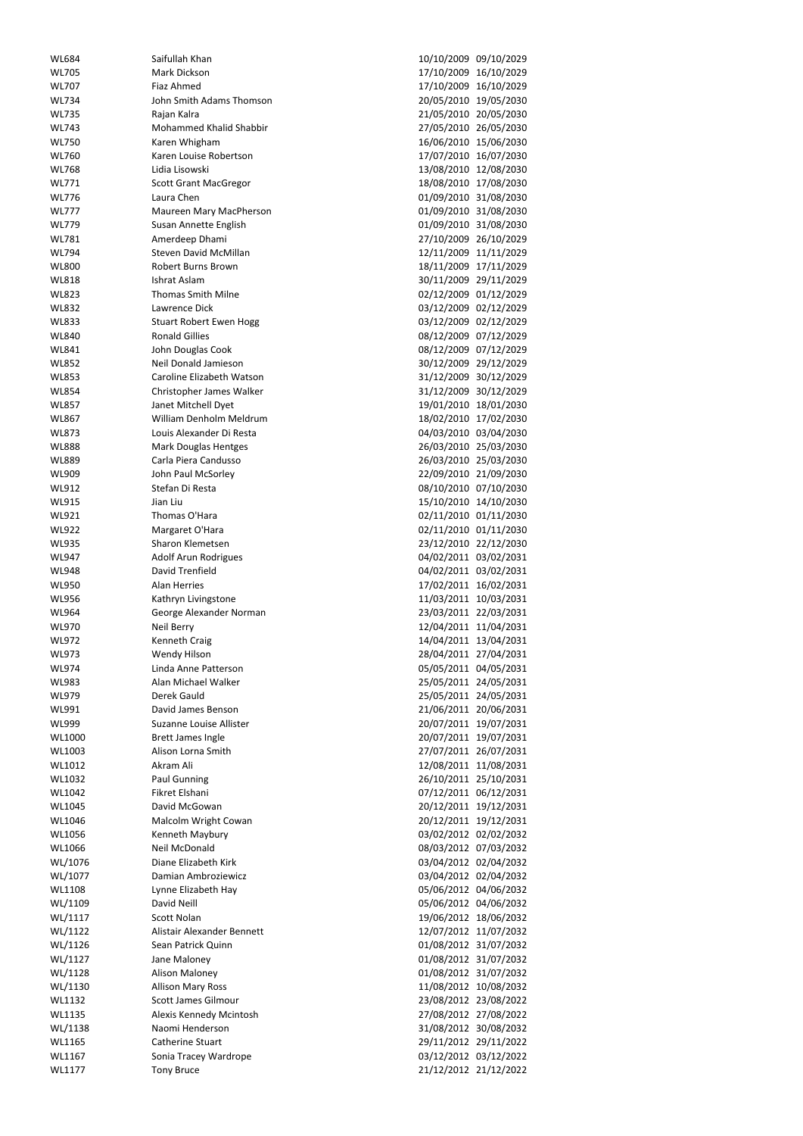| Mark Dickson<br><b>WL705</b><br>17/10/2009 16/10/2029<br>Fiaz Ahmed<br>17/10/2009 16/10/2029<br><b>WL707</b><br>John Smith Adams Thomson<br>20/05/2010 19/05/2030<br><b>WL734</b><br>21/05/2010 20/05/2030<br>Rajan Kalra<br><b>WL735</b><br>Mohammed Khalid Shabbir<br>27/05/2010 26/05/2030<br><b>WL743</b><br>Karen Whigham<br>16/06/2010 15/06/2030<br><b>WL750</b><br>Karen Louise Robertson<br>17/07/2010 16/07/2030<br><b>WL760</b><br>Lidia Lisowski<br>13/08/2010 12/08/2030<br><b>WL768</b><br>18/08/2010 17/08/2030<br>WL771<br><b>Scott Grant MacGregor</b><br>01/09/2010 31/08/2030<br><b>WL776</b><br>Laura Chen<br>01/09/2010 31/08/2030<br><b>WL777</b><br>Maureen Mary MacPherson<br>01/09/2010 31/08/2030<br><b>WL779</b><br>Susan Annette English<br><b>WL781</b><br>Amerdeep Dhami<br>27/10/2009 26/10/2029<br><b>Steven David McMillan</b><br>12/11/2009 11/11/2029<br><b>WL794</b><br>18/11/2009 17/11/2029<br><b>WL800</b><br><b>Robert Burns Brown</b><br>30/11/2009 29/11/2029<br><b>WL818</b><br>Ishrat Aslam<br><b>WL823</b><br><b>Thomas Smith Milne</b><br>02/12/2009 01/12/2029<br>03/12/2009 02/12/2029<br><b>WL832</b><br>Lawrence Dick<br>03/12/2009 02/12/2029<br><b>WL833</b><br><b>Stuart Robert Ewen Hogg</b><br><b>WL840</b><br><b>Ronald Gillies</b><br>08/12/2009 07/12/2029<br>John Douglas Cook<br>08/12/2009 07/12/2029<br><b>WL841</b><br>Neil Donald Jamieson<br><b>WL852</b><br>30/12/2009 29/12/2029<br>Caroline Elizabeth Watson<br>31/12/2009 30/12/2029<br><b>WL853</b><br>Christopher James Walker<br>31/12/2009 30/12/2029<br><b>WL854</b><br><b>WL857</b><br>Janet Mitchell Dyet<br>19/01/2010 18/01/2030<br>William Denholm Meldrum<br>18/02/2010 17/02/2030<br><b>WL867</b><br>Louis Alexander Di Resta<br>04/03/2010 03/04/2030<br><b>WL873</b><br>26/03/2010 25/03/2030<br><b>Mark Douglas Hentges</b><br><b>WL888</b><br>Carla Piera Candusso<br>26/03/2010 25/03/2030<br>WL889<br>22/09/2010 21/09/2030<br>WL909<br>John Paul McSorley<br>WL912<br>Stefan Di Resta<br>08/10/2010 07/10/2030<br>WL915<br>Jian Liu<br>15/10/2010 14/10/2030 |                       |
|------------------------------------------------------------------------------------------------------------------------------------------------------------------------------------------------------------------------------------------------------------------------------------------------------------------------------------------------------------------------------------------------------------------------------------------------------------------------------------------------------------------------------------------------------------------------------------------------------------------------------------------------------------------------------------------------------------------------------------------------------------------------------------------------------------------------------------------------------------------------------------------------------------------------------------------------------------------------------------------------------------------------------------------------------------------------------------------------------------------------------------------------------------------------------------------------------------------------------------------------------------------------------------------------------------------------------------------------------------------------------------------------------------------------------------------------------------------------------------------------------------------------------------------------------------------------------------------------------------------------------------------------------------------------------------------------------------------------------------------------------------------------------------------------------------------------------------------------------------------------------------------------------------------------------------------------------------------------------------------------------------------------------------------------------------------------------------------------------|-----------------------|
|                                                                                                                                                                                                                                                                                                                                                                                                                                                                                                                                                                                                                                                                                                                                                                                                                                                                                                                                                                                                                                                                                                                                                                                                                                                                                                                                                                                                                                                                                                                                                                                                                                                                                                                                                                                                                                                                                                                                                                                                                                                                                                      |                       |
|                                                                                                                                                                                                                                                                                                                                                                                                                                                                                                                                                                                                                                                                                                                                                                                                                                                                                                                                                                                                                                                                                                                                                                                                                                                                                                                                                                                                                                                                                                                                                                                                                                                                                                                                                                                                                                                                                                                                                                                                                                                                                                      |                       |
|                                                                                                                                                                                                                                                                                                                                                                                                                                                                                                                                                                                                                                                                                                                                                                                                                                                                                                                                                                                                                                                                                                                                                                                                                                                                                                                                                                                                                                                                                                                                                                                                                                                                                                                                                                                                                                                                                                                                                                                                                                                                                                      |                       |
|                                                                                                                                                                                                                                                                                                                                                                                                                                                                                                                                                                                                                                                                                                                                                                                                                                                                                                                                                                                                                                                                                                                                                                                                                                                                                                                                                                                                                                                                                                                                                                                                                                                                                                                                                                                                                                                                                                                                                                                                                                                                                                      |                       |
|                                                                                                                                                                                                                                                                                                                                                                                                                                                                                                                                                                                                                                                                                                                                                                                                                                                                                                                                                                                                                                                                                                                                                                                                                                                                                                                                                                                                                                                                                                                                                                                                                                                                                                                                                                                                                                                                                                                                                                                                                                                                                                      |                       |
|                                                                                                                                                                                                                                                                                                                                                                                                                                                                                                                                                                                                                                                                                                                                                                                                                                                                                                                                                                                                                                                                                                                                                                                                                                                                                                                                                                                                                                                                                                                                                                                                                                                                                                                                                                                                                                                                                                                                                                                                                                                                                                      |                       |
|                                                                                                                                                                                                                                                                                                                                                                                                                                                                                                                                                                                                                                                                                                                                                                                                                                                                                                                                                                                                                                                                                                                                                                                                                                                                                                                                                                                                                                                                                                                                                                                                                                                                                                                                                                                                                                                                                                                                                                                                                                                                                                      |                       |
|                                                                                                                                                                                                                                                                                                                                                                                                                                                                                                                                                                                                                                                                                                                                                                                                                                                                                                                                                                                                                                                                                                                                                                                                                                                                                                                                                                                                                                                                                                                                                                                                                                                                                                                                                                                                                                                                                                                                                                                                                                                                                                      |                       |
|                                                                                                                                                                                                                                                                                                                                                                                                                                                                                                                                                                                                                                                                                                                                                                                                                                                                                                                                                                                                                                                                                                                                                                                                                                                                                                                                                                                                                                                                                                                                                                                                                                                                                                                                                                                                                                                                                                                                                                                                                                                                                                      |                       |
|                                                                                                                                                                                                                                                                                                                                                                                                                                                                                                                                                                                                                                                                                                                                                                                                                                                                                                                                                                                                                                                                                                                                                                                                                                                                                                                                                                                                                                                                                                                                                                                                                                                                                                                                                                                                                                                                                                                                                                                                                                                                                                      |                       |
|                                                                                                                                                                                                                                                                                                                                                                                                                                                                                                                                                                                                                                                                                                                                                                                                                                                                                                                                                                                                                                                                                                                                                                                                                                                                                                                                                                                                                                                                                                                                                                                                                                                                                                                                                                                                                                                                                                                                                                                                                                                                                                      |                       |
|                                                                                                                                                                                                                                                                                                                                                                                                                                                                                                                                                                                                                                                                                                                                                                                                                                                                                                                                                                                                                                                                                                                                                                                                                                                                                                                                                                                                                                                                                                                                                                                                                                                                                                                                                                                                                                                                                                                                                                                                                                                                                                      |                       |
|                                                                                                                                                                                                                                                                                                                                                                                                                                                                                                                                                                                                                                                                                                                                                                                                                                                                                                                                                                                                                                                                                                                                                                                                                                                                                                                                                                                                                                                                                                                                                                                                                                                                                                                                                                                                                                                                                                                                                                                                                                                                                                      |                       |
|                                                                                                                                                                                                                                                                                                                                                                                                                                                                                                                                                                                                                                                                                                                                                                                                                                                                                                                                                                                                                                                                                                                                                                                                                                                                                                                                                                                                                                                                                                                                                                                                                                                                                                                                                                                                                                                                                                                                                                                                                                                                                                      |                       |
|                                                                                                                                                                                                                                                                                                                                                                                                                                                                                                                                                                                                                                                                                                                                                                                                                                                                                                                                                                                                                                                                                                                                                                                                                                                                                                                                                                                                                                                                                                                                                                                                                                                                                                                                                                                                                                                                                                                                                                                                                                                                                                      |                       |
|                                                                                                                                                                                                                                                                                                                                                                                                                                                                                                                                                                                                                                                                                                                                                                                                                                                                                                                                                                                                                                                                                                                                                                                                                                                                                                                                                                                                                                                                                                                                                                                                                                                                                                                                                                                                                                                                                                                                                                                                                                                                                                      |                       |
|                                                                                                                                                                                                                                                                                                                                                                                                                                                                                                                                                                                                                                                                                                                                                                                                                                                                                                                                                                                                                                                                                                                                                                                                                                                                                                                                                                                                                                                                                                                                                                                                                                                                                                                                                                                                                                                                                                                                                                                                                                                                                                      |                       |
|                                                                                                                                                                                                                                                                                                                                                                                                                                                                                                                                                                                                                                                                                                                                                                                                                                                                                                                                                                                                                                                                                                                                                                                                                                                                                                                                                                                                                                                                                                                                                                                                                                                                                                                                                                                                                                                                                                                                                                                                                                                                                                      |                       |
|                                                                                                                                                                                                                                                                                                                                                                                                                                                                                                                                                                                                                                                                                                                                                                                                                                                                                                                                                                                                                                                                                                                                                                                                                                                                                                                                                                                                                                                                                                                                                                                                                                                                                                                                                                                                                                                                                                                                                                                                                                                                                                      |                       |
|                                                                                                                                                                                                                                                                                                                                                                                                                                                                                                                                                                                                                                                                                                                                                                                                                                                                                                                                                                                                                                                                                                                                                                                                                                                                                                                                                                                                                                                                                                                                                                                                                                                                                                                                                                                                                                                                                                                                                                                                                                                                                                      |                       |
|                                                                                                                                                                                                                                                                                                                                                                                                                                                                                                                                                                                                                                                                                                                                                                                                                                                                                                                                                                                                                                                                                                                                                                                                                                                                                                                                                                                                                                                                                                                                                                                                                                                                                                                                                                                                                                                                                                                                                                                                                                                                                                      |                       |
|                                                                                                                                                                                                                                                                                                                                                                                                                                                                                                                                                                                                                                                                                                                                                                                                                                                                                                                                                                                                                                                                                                                                                                                                                                                                                                                                                                                                                                                                                                                                                                                                                                                                                                                                                                                                                                                                                                                                                                                                                                                                                                      |                       |
|                                                                                                                                                                                                                                                                                                                                                                                                                                                                                                                                                                                                                                                                                                                                                                                                                                                                                                                                                                                                                                                                                                                                                                                                                                                                                                                                                                                                                                                                                                                                                                                                                                                                                                                                                                                                                                                                                                                                                                                                                                                                                                      |                       |
|                                                                                                                                                                                                                                                                                                                                                                                                                                                                                                                                                                                                                                                                                                                                                                                                                                                                                                                                                                                                                                                                                                                                                                                                                                                                                                                                                                                                                                                                                                                                                                                                                                                                                                                                                                                                                                                                                                                                                                                                                                                                                                      |                       |
|                                                                                                                                                                                                                                                                                                                                                                                                                                                                                                                                                                                                                                                                                                                                                                                                                                                                                                                                                                                                                                                                                                                                                                                                                                                                                                                                                                                                                                                                                                                                                                                                                                                                                                                                                                                                                                                                                                                                                                                                                                                                                                      |                       |
|                                                                                                                                                                                                                                                                                                                                                                                                                                                                                                                                                                                                                                                                                                                                                                                                                                                                                                                                                                                                                                                                                                                                                                                                                                                                                                                                                                                                                                                                                                                                                                                                                                                                                                                                                                                                                                                                                                                                                                                                                                                                                                      |                       |
|                                                                                                                                                                                                                                                                                                                                                                                                                                                                                                                                                                                                                                                                                                                                                                                                                                                                                                                                                                                                                                                                                                                                                                                                                                                                                                                                                                                                                                                                                                                                                                                                                                                                                                                                                                                                                                                                                                                                                                                                                                                                                                      |                       |
|                                                                                                                                                                                                                                                                                                                                                                                                                                                                                                                                                                                                                                                                                                                                                                                                                                                                                                                                                                                                                                                                                                                                                                                                                                                                                                                                                                                                                                                                                                                                                                                                                                                                                                                                                                                                                                                                                                                                                                                                                                                                                                      |                       |
|                                                                                                                                                                                                                                                                                                                                                                                                                                                                                                                                                                                                                                                                                                                                                                                                                                                                                                                                                                                                                                                                                                                                                                                                                                                                                                                                                                                                                                                                                                                                                                                                                                                                                                                                                                                                                                                                                                                                                                                                                                                                                                      |                       |
|                                                                                                                                                                                                                                                                                                                                                                                                                                                                                                                                                                                                                                                                                                                                                                                                                                                                                                                                                                                                                                                                                                                                                                                                                                                                                                                                                                                                                                                                                                                                                                                                                                                                                                                                                                                                                                                                                                                                                                                                                                                                                                      |                       |
|                                                                                                                                                                                                                                                                                                                                                                                                                                                                                                                                                                                                                                                                                                                                                                                                                                                                                                                                                                                                                                                                                                                                                                                                                                                                                                                                                                                                                                                                                                                                                                                                                                                                                                                                                                                                                                                                                                                                                                                                                                                                                                      |                       |
|                                                                                                                                                                                                                                                                                                                                                                                                                                                                                                                                                                                                                                                                                                                                                                                                                                                                                                                                                                                                                                                                                                                                                                                                                                                                                                                                                                                                                                                                                                                                                                                                                                                                                                                                                                                                                                                                                                                                                                                                                                                                                                      |                       |
| 02/11/2010 01/11/2030<br>WL921<br>Thomas O'Hara                                                                                                                                                                                                                                                                                                                                                                                                                                                                                                                                                                                                                                                                                                                                                                                                                                                                                                                                                                                                                                                                                                                                                                                                                                                                                                                                                                                                                                                                                                                                                                                                                                                                                                                                                                                                                                                                                                                                                                                                                                                      |                       |
| 02/11/2010 01/11/2030<br><b>WL922</b><br>Margaret O'Hara                                                                                                                                                                                                                                                                                                                                                                                                                                                                                                                                                                                                                                                                                                                                                                                                                                                                                                                                                                                                                                                                                                                                                                                                                                                                                                                                                                                                                                                                                                                                                                                                                                                                                                                                                                                                                                                                                                                                                                                                                                             |                       |
| 23/12/2010 22/12/2030<br>Sharon Klemetsen<br><b>WL935</b>                                                                                                                                                                                                                                                                                                                                                                                                                                                                                                                                                                                                                                                                                                                                                                                                                                                                                                                                                                                                                                                                                                                                                                                                                                                                                                                                                                                                                                                                                                                                                                                                                                                                                                                                                                                                                                                                                                                                                                                                                                            |                       |
| 04/02/2011 03/02/2031<br><b>WL947</b><br><b>Adolf Arun Rodrigues</b>                                                                                                                                                                                                                                                                                                                                                                                                                                                                                                                                                                                                                                                                                                                                                                                                                                                                                                                                                                                                                                                                                                                                                                                                                                                                                                                                                                                                                                                                                                                                                                                                                                                                                                                                                                                                                                                                                                                                                                                                                                 |                       |
| David Trenfield<br>04/02/2011 03/02/2031<br><b>WL948</b>                                                                                                                                                                                                                                                                                                                                                                                                                                                                                                                                                                                                                                                                                                                                                                                                                                                                                                                                                                                                                                                                                                                                                                                                                                                                                                                                                                                                                                                                                                                                                                                                                                                                                                                                                                                                                                                                                                                                                                                                                                             |                       |
| 17/02/2011 16/02/2031<br><b>Alan Herries</b><br><b>WL950</b>                                                                                                                                                                                                                                                                                                                                                                                                                                                                                                                                                                                                                                                                                                                                                                                                                                                                                                                                                                                                                                                                                                                                                                                                                                                                                                                                                                                                                                                                                                                                                                                                                                                                                                                                                                                                                                                                                                                                                                                                                                         |                       |
| <b>WL956</b><br>Kathryn Livingstone                                                                                                                                                                                                                                                                                                                                                                                                                                                                                                                                                                                                                                                                                                                                                                                                                                                                                                                                                                                                                                                                                                                                                                                                                                                                                                                                                                                                                                                                                                                                                                                                                                                                                                                                                                                                                                                                                                                                                                                                                                                                  |                       |
| George Alexander Norman<br><b>WL964</b>                                                                                                                                                                                                                                                                                                                                                                                                                                                                                                                                                                                                                                                                                                                                                                                                                                                                                                                                                                                                                                                                                                                                                                                                                                                                                                                                                                                                                                                                                                                                                                                                                                                                                                                                                                                                                                                                                                                                                                                                                                                              |                       |
| <b>WL970</b><br>Neil Berry                                                                                                                                                                                                                                                                                                                                                                                                                                                                                                                                                                                                                                                                                                                                                                                                                                                                                                                                                                                                                                                                                                                                                                                                                                                                                                                                                                                                                                                                                                                                                                                                                                                                                                                                                                                                                                                                                                                                                                                                                                                                           | 11/03/2011 10/03/2031 |
| Kenneth Craig<br><b>WL972</b>                                                                                                                                                                                                                                                                                                                                                                                                                                                                                                                                                                                                                                                                                                                                                                                                                                                                                                                                                                                                                                                                                                                                                                                                                                                                                                                                                                                                                                                                                                                                                                                                                                                                                                                                                                                                                                                                                                                                                                                                                                                                        | 23/03/2011 22/03/2031 |
| <b>WL973</b><br>Wendy Hilson                                                                                                                                                                                                                                                                                                                                                                                                                                                                                                                                                                                                                                                                                                                                                                                                                                                                                                                                                                                                                                                                                                                                                                                                                                                                                                                                                                                                                                                                                                                                                                                                                                                                                                                                                                                                                                                                                                                                                                                                                                                                         | 12/04/2011 11/04/2031 |
| Linda Anne Patterson<br><b>WL974</b>                                                                                                                                                                                                                                                                                                                                                                                                                                                                                                                                                                                                                                                                                                                                                                                                                                                                                                                                                                                                                                                                                                                                                                                                                                                                                                                                                                                                                                                                                                                                                                                                                                                                                                                                                                                                                                                                                                                                                                                                                                                                 | 14/04/2011 13/04/2031 |
| Alan Michael Walker<br><b>WL983</b>                                                                                                                                                                                                                                                                                                                                                                                                                                                                                                                                                                                                                                                                                                                                                                                                                                                                                                                                                                                                                                                                                                                                                                                                                                                                                                                                                                                                                                                                                                                                                                                                                                                                                                                                                                                                                                                                                                                                                                                                                                                                  | 28/04/2011 27/04/2031 |
| Derek Gauld<br>WL979                                                                                                                                                                                                                                                                                                                                                                                                                                                                                                                                                                                                                                                                                                                                                                                                                                                                                                                                                                                                                                                                                                                                                                                                                                                                                                                                                                                                                                                                                                                                                                                                                                                                                                                                                                                                                                                                                                                                                                                                                                                                                 | 05/05/2011 04/05/2031 |
| WL991<br>David James Benson                                                                                                                                                                                                                                                                                                                                                                                                                                                                                                                                                                                                                                                                                                                                                                                                                                                                                                                                                                                                                                                                                                                                                                                                                                                                                                                                                                                                                                                                                                                                                                                                                                                                                                                                                                                                                                                                                                                                                                                                                                                                          | 25/05/2011 24/05/2031 |
|                                                                                                                                                                                                                                                                                                                                                                                                                                                                                                                                                                                                                                                                                                                                                                                                                                                                                                                                                                                                                                                                                                                                                                                                                                                                                                                                                                                                                                                                                                                                                                                                                                                                                                                                                                                                                                                                                                                                                                                                                                                                                                      | 25/05/2011 24/05/2031 |
|                                                                                                                                                                                                                                                                                                                                                                                                                                                                                                                                                                                                                                                                                                                                                                                                                                                                                                                                                                                                                                                                                                                                                                                                                                                                                                                                                                                                                                                                                                                                                                                                                                                                                                                                                                                                                                                                                                                                                                                                                                                                                                      | 21/06/2011 20/06/2031 |
| Suzanne Louise Allister<br>20/07/2011 19/07/2031<br><b>WL999</b>                                                                                                                                                                                                                                                                                                                                                                                                                                                                                                                                                                                                                                                                                                                                                                                                                                                                                                                                                                                                                                                                                                                                                                                                                                                                                                                                                                                                                                                                                                                                                                                                                                                                                                                                                                                                                                                                                                                                                                                                                                     |                       |
| 20/07/2011 19/07/2031<br>WL1000<br><b>Brett James Ingle</b>                                                                                                                                                                                                                                                                                                                                                                                                                                                                                                                                                                                                                                                                                                                                                                                                                                                                                                                                                                                                                                                                                                                                                                                                                                                                                                                                                                                                                                                                                                                                                                                                                                                                                                                                                                                                                                                                                                                                                                                                                                          |                       |
| Alison Lorna Smith<br>27/07/2011 26/07/2031<br>WL1003                                                                                                                                                                                                                                                                                                                                                                                                                                                                                                                                                                                                                                                                                                                                                                                                                                                                                                                                                                                                                                                                                                                                                                                                                                                                                                                                                                                                                                                                                                                                                                                                                                                                                                                                                                                                                                                                                                                                                                                                                                                |                       |
| Akram Ali<br>12/08/2011 11/08/2031<br>WL1012                                                                                                                                                                                                                                                                                                                                                                                                                                                                                                                                                                                                                                                                                                                                                                                                                                                                                                                                                                                                                                                                                                                                                                                                                                                                                                                                                                                                                                                                                                                                                                                                                                                                                                                                                                                                                                                                                                                                                                                                                                                         |                       |
| <b>Paul Gunning</b><br>26/10/2011 25/10/2031<br>WL1032                                                                                                                                                                                                                                                                                                                                                                                                                                                                                                                                                                                                                                                                                                                                                                                                                                                                                                                                                                                                                                                                                                                                                                                                                                                                                                                                                                                                                                                                                                                                                                                                                                                                                                                                                                                                                                                                                                                                                                                                                                               |                       |
| Fikret Elshani<br>07/12/2011 06/12/2031<br>WL1042                                                                                                                                                                                                                                                                                                                                                                                                                                                                                                                                                                                                                                                                                                                                                                                                                                                                                                                                                                                                                                                                                                                                                                                                                                                                                                                                                                                                                                                                                                                                                                                                                                                                                                                                                                                                                                                                                                                                                                                                                                                    |                       |
| David McGowan<br>20/12/2011 19/12/2031<br>WL1045                                                                                                                                                                                                                                                                                                                                                                                                                                                                                                                                                                                                                                                                                                                                                                                                                                                                                                                                                                                                                                                                                                                                                                                                                                                                                                                                                                                                                                                                                                                                                                                                                                                                                                                                                                                                                                                                                                                                                                                                                                                     |                       |
| 20/12/2011 19/12/2031<br>Malcolm Wright Cowan<br>WL1046                                                                                                                                                                                                                                                                                                                                                                                                                                                                                                                                                                                                                                                                                                                                                                                                                                                                                                                                                                                                                                                                                                                                                                                                                                                                                                                                                                                                                                                                                                                                                                                                                                                                                                                                                                                                                                                                                                                                                                                                                                              |                       |
| Kenneth Maybury<br>03/02/2012 02/02/2032<br>WL1056                                                                                                                                                                                                                                                                                                                                                                                                                                                                                                                                                                                                                                                                                                                                                                                                                                                                                                                                                                                                                                                                                                                                                                                                                                                                                                                                                                                                                                                                                                                                                                                                                                                                                                                                                                                                                                                                                                                                                                                                                                                   |                       |
| Neil McDonald<br>08/03/2012 07/03/2032<br>WL1066                                                                                                                                                                                                                                                                                                                                                                                                                                                                                                                                                                                                                                                                                                                                                                                                                                                                                                                                                                                                                                                                                                                                                                                                                                                                                                                                                                                                                                                                                                                                                                                                                                                                                                                                                                                                                                                                                                                                                                                                                                                     |                       |
| Diane Elizabeth Kirk<br>03/04/2012 02/04/2032<br>WL/1076                                                                                                                                                                                                                                                                                                                                                                                                                                                                                                                                                                                                                                                                                                                                                                                                                                                                                                                                                                                                                                                                                                                                                                                                                                                                                                                                                                                                                                                                                                                                                                                                                                                                                                                                                                                                                                                                                                                                                                                                                                             |                       |
| Damian Ambroziewicz<br>03/04/2012 02/04/2032<br>WL/1077                                                                                                                                                                                                                                                                                                                                                                                                                                                                                                                                                                                                                                                                                                                                                                                                                                                                                                                                                                                                                                                                                                                                                                                                                                                                                                                                                                                                                                                                                                                                                                                                                                                                                                                                                                                                                                                                                                                                                                                                                                              |                       |
| 05/06/2012 04/06/2032<br>WL1108<br>Lynne Elizabeth Hay                                                                                                                                                                                                                                                                                                                                                                                                                                                                                                                                                                                                                                                                                                                                                                                                                                                                                                                                                                                                                                                                                                                                                                                                                                                                                                                                                                                                                                                                                                                                                                                                                                                                                                                                                                                                                                                                                                                                                                                                                                               |                       |
| 05/06/2012 04/06/2032<br>WL/1109<br>David Neill                                                                                                                                                                                                                                                                                                                                                                                                                                                                                                                                                                                                                                                                                                                                                                                                                                                                                                                                                                                                                                                                                                                                                                                                                                                                                                                                                                                                                                                                                                                                                                                                                                                                                                                                                                                                                                                                                                                                                                                                                                                      |                       |
| 19/06/2012 18/06/2032<br>WL/1117<br>Scott Nolan                                                                                                                                                                                                                                                                                                                                                                                                                                                                                                                                                                                                                                                                                                                                                                                                                                                                                                                                                                                                                                                                                                                                                                                                                                                                                                                                                                                                                                                                                                                                                                                                                                                                                                                                                                                                                                                                                                                                                                                                                                                      |                       |
| WL/1122<br>12/07/2012 11/07/2032<br>Alistair Alexander Bennett<br>Sean Patrick Quinn                                                                                                                                                                                                                                                                                                                                                                                                                                                                                                                                                                                                                                                                                                                                                                                                                                                                                                                                                                                                                                                                                                                                                                                                                                                                                                                                                                                                                                                                                                                                                                                                                                                                                                                                                                                                                                                                                                                                                                                                                 |                       |
| WL/1126<br>01/08/2012 31/07/2032                                                                                                                                                                                                                                                                                                                                                                                                                                                                                                                                                                                                                                                                                                                                                                                                                                                                                                                                                                                                                                                                                                                                                                                                                                                                                                                                                                                                                                                                                                                                                                                                                                                                                                                                                                                                                                                                                                                                                                                                                                                                     |                       |
| WL/1127<br>01/08/2012 31/07/2032<br>Jane Maloney                                                                                                                                                                                                                                                                                                                                                                                                                                                                                                                                                                                                                                                                                                                                                                                                                                                                                                                                                                                                                                                                                                                                                                                                                                                                                                                                                                                                                                                                                                                                                                                                                                                                                                                                                                                                                                                                                                                                                                                                                                                     |                       |
| 01/08/2012 31/07/2032<br>WL/1128<br><b>Alison Maloney</b>                                                                                                                                                                                                                                                                                                                                                                                                                                                                                                                                                                                                                                                                                                                                                                                                                                                                                                                                                                                                                                                                                                                                                                                                                                                                                                                                                                                                                                                                                                                                                                                                                                                                                                                                                                                                                                                                                                                                                                                                                                            |                       |
| 11/08/2012 10/08/2032<br>WL/1130<br><b>Allison Mary Ross</b>                                                                                                                                                                                                                                                                                                                                                                                                                                                                                                                                                                                                                                                                                                                                                                                                                                                                                                                                                                                                                                                                                                                                                                                                                                                                                                                                                                                                                                                                                                                                                                                                                                                                                                                                                                                                                                                                                                                                                                                                                                         |                       |
| <b>Scott James Gilmour</b><br>23/08/2012 23/08/2022<br>WL1132                                                                                                                                                                                                                                                                                                                                                                                                                                                                                                                                                                                                                                                                                                                                                                                                                                                                                                                                                                                                                                                                                                                                                                                                                                                                                                                                                                                                                                                                                                                                                                                                                                                                                                                                                                                                                                                                                                                                                                                                                                        |                       |
| 27/08/2012 27/08/2022<br>Alexis Kennedy Mcintosh<br>WL1135                                                                                                                                                                                                                                                                                                                                                                                                                                                                                                                                                                                                                                                                                                                                                                                                                                                                                                                                                                                                                                                                                                                                                                                                                                                                                                                                                                                                                                                                                                                                                                                                                                                                                                                                                                                                                                                                                                                                                                                                                                           |                       |
| WL/1138<br>Naomi Henderson<br>31/08/2012 30/08/2032<br><b>Catherine Stuart</b>                                                                                                                                                                                                                                                                                                                                                                                                                                                                                                                                                                                                                                                                                                                                                                                                                                                                                                                                                                                                                                                                                                                                                                                                                                                                                                                                                                                                                                                                                                                                                                                                                                                                                                                                                                                                                                                                                                                                                                                                                       |                       |
| 29/11/2012 29/11/2022<br>WL1165<br>WL1167<br>03/12/2012 03/12/2022<br>Sonia Tracey Wardrope                                                                                                                                                                                                                                                                                                                                                                                                                                                                                                                                                                                                                                                                                                                                                                                                                                                                                                                                                                                                                                                                                                                                                                                                                                                                                                                                                                                                                                                                                                                                                                                                                                                                                                                                                                                                                                                                                                                                                                                                          |                       |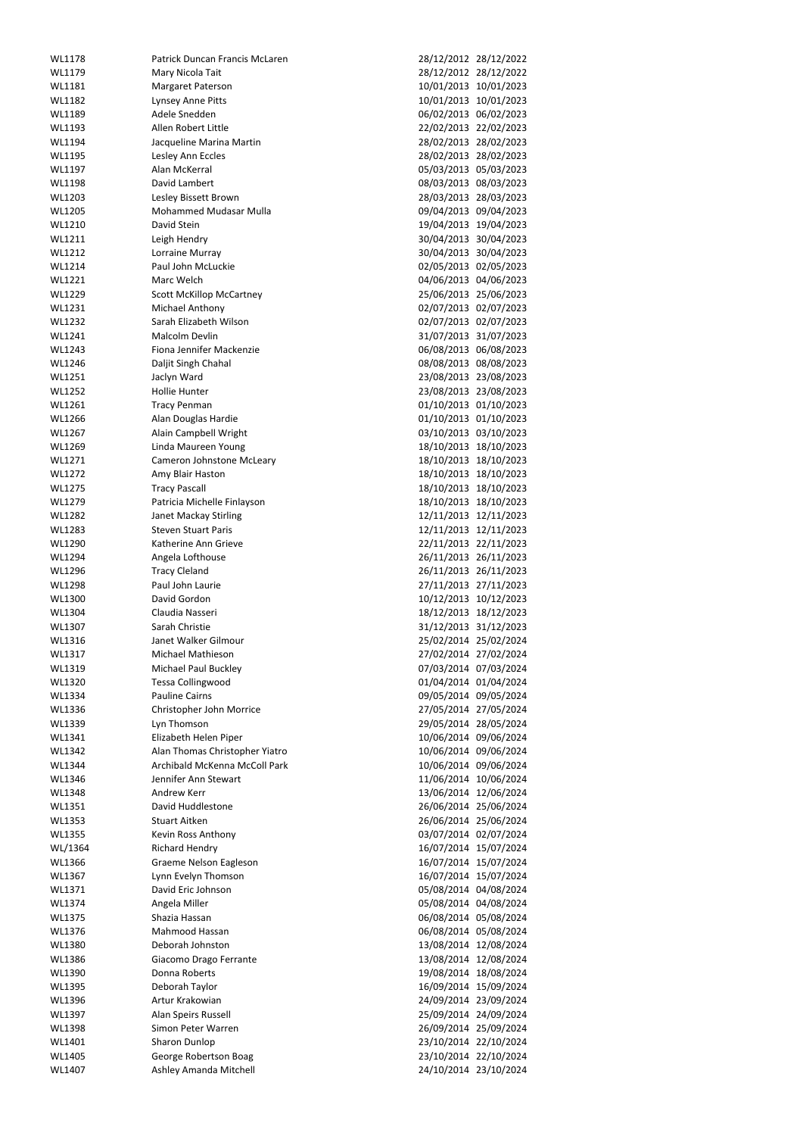| WL1178  | Patrick Duncan Francis McLaren  |            | 28/12/2012 28/12/2022 |
|---------|---------------------------------|------------|-----------------------|
|         |                                 |            |                       |
| WL1179  | Mary Nicola Tait                |            | 28/12/2012 28/12/2022 |
| WL1181  | <b>Margaret Paterson</b>        | 10/01/2013 | 10/01/2023            |
| WL1182  | Lynsey Anne Pitts               |            | 10/01/2013 10/01/2023 |
| WL1189  | Adele Snedden                   | 06/02/2013 | 06/02/2023            |
|         |                                 |            |                       |
| WL1193  | Allen Robert Little             | 22/02/2013 | 22/02/2023            |
| WL1194  | Jacqueline Marina Martin        | 28/02/2013 | 28/02/2023            |
| WL1195  | Lesley Ann Eccles               | 28/02/2013 | 28/02/2023            |
| WL1197  | Alan McKerral                   |            | 05/03/2013 05/03/2023 |
|         |                                 |            |                       |
| WL1198  | David Lambert                   | 08/03/2013 | 08/03/2023            |
| WL1203  | Lesley Bissett Brown            |            | 28/03/2013 28/03/2023 |
| WL1205  | <b>Mohammed Mudasar Mulla</b>   | 09/04/2013 | 09/04/2023            |
| WL1210  | David Stein                     | 19/04/2013 | 19/04/2023            |
| WL1211  |                                 |            | 30/04/2013 30/04/2023 |
|         | Leigh Hendry                    |            |                       |
| WL1212  | Lorraine Murray                 |            | 30/04/2013 30/04/2023 |
| WL1214  | Paul John McLuckie              |            | 02/05/2013 02/05/2023 |
| WL1221  | Marc Welch                      | 04/06/2013 | 04/06/2023            |
| WL1229  | <b>Scott McKillop McCartney</b> |            | 25/06/2013 25/06/2023 |
|         |                                 |            |                       |
| WL1231  | <b>Michael Anthony</b>          |            | 02/07/2013 02/07/2023 |
| WL1232  | Sarah Elizabeth Wilson          |            | 02/07/2013 02/07/2023 |
| WL1241  | Malcolm Devlin                  |            | 31/07/2013 31/07/2023 |
| WL1243  | Fiona Jennifer Mackenzie        | 06/08/2013 | 06/08/2023            |
|         |                                 |            |                       |
| WL1246  | Daljit Singh Chahal             |            | 08/08/2013 08/08/2023 |
| WL1251  | Jaclyn Ward                     | 23/08/2013 | 23/08/2023            |
| WL1252  | <b>Hollie Hunter</b>            |            | 23/08/2013 23/08/2023 |
| WL1261  | <b>Tracy Penman</b>             |            | 01/10/2013 01/10/2023 |
|         |                                 |            |                       |
| WL1266  | Alan Douglas Hardie             |            | 01/10/2013 01/10/2023 |
| WL1267  | Alain Campbell Wright           |            | 03/10/2013 03/10/2023 |
| WL1269  | Linda Maureen Young             | 18/10/2013 | 18/10/2023            |
| WL1271  | Cameron Johnstone McLeary       |            | 18/10/2013 18/10/2023 |
|         |                                 |            |                       |
| WL1272  | Amy Blair Haston                | 18/10/2013 | 18/10/2023            |
| WL1275  | <b>Tracy Pascall</b>            |            | 18/10/2013 18/10/2023 |
| WL1279  | Patricia Michelle Finlayson     |            | 18/10/2013 18/10/2023 |
| WL1282  | Janet Mackay Stirling           |            | 12/11/2013 12/11/2023 |
| WL1283  | <b>Steven Stuart Paris</b>      |            | 12/11/2013 12/11/2023 |
|         |                                 |            |                       |
| WL1290  | Katherine Ann Grieve            |            | 22/11/2013 22/11/2023 |
| WL1294  | Angela Lofthouse                |            | 26/11/2013 26/11/2023 |
| WL1296  | <b>Tracy Cleland</b>            |            | 26/11/2013 26/11/2023 |
| WL1298  | Paul John Laurie                |            | 27/11/2013 27/11/2023 |
|         |                                 |            |                       |
| WL1300  | David Gordon                    |            | 10/12/2013 10/12/2023 |
| WL1304  | Claudia Nasseri                 |            | 18/12/2013 18/12/2023 |
| WL1307  | Sarah Christie                  |            | 31/12/2013 31/12/2023 |
|         | Janet Walker Gilmour            |            |                       |
|         |                                 |            |                       |
| WL1316  |                                 |            | 25/02/2014 25/02/2024 |
| WL1317  | Michael Mathieson               |            | 27/02/2014 27/02/2024 |
| WL1319  | <b>Michael Paul Buckley</b>     |            | 07/03/2014 07/03/2024 |
| WL1320  | <b>Tessa Collingwood</b>        |            | 01/04/2014 01/04/2024 |
|         |                                 |            |                       |
| WL1334  | <b>Pauline Cairns</b>           |            | 09/05/2014 09/05/2024 |
| WL1336  | Christopher John Morrice        |            | 27/05/2014 27/05/2024 |
| WL1339  | Lyn Thomson                     |            | 29/05/2014 28/05/2024 |
| WL1341  | Elizabeth Helen Piper           |            | 10/06/2014 09/06/2024 |
| WL1342  |                                 |            |                       |
|         | Alan Thomas Christopher Yiatro  |            | 10/06/2014 09/06/2024 |
| WL1344  | Archibald McKenna McColl Park   |            | 10/06/2014 09/06/2024 |
| WL1346  | Jennifer Ann Stewart            |            | 11/06/2014 10/06/2024 |
| WL1348  | <b>Andrew Kerr</b>              |            | 13/06/2014 12/06/2024 |
| WL1351  | David Huddlestone               |            | 26/06/2014 25/06/2024 |
|         |                                 |            |                       |
| WL1353  | <b>Stuart Aitken</b>            |            | 26/06/2014 25/06/2024 |
| WL1355  | Kevin Ross Anthony              |            | 03/07/2014 02/07/2024 |
| WL/1364 | <b>Richard Hendry</b>           |            | 16/07/2014 15/07/2024 |
| WL1366  | Graeme Nelson Eagleson          |            | 16/07/2014 15/07/2024 |
| WL1367  | Lynn Evelyn Thomson             |            | 16/07/2014 15/07/2024 |
|         |                                 |            |                       |
| WL1371  | David Eric Johnson              |            | 05/08/2014 04/08/2024 |
| WL1374  | Angela Miller                   |            | 05/08/2014 04/08/2024 |
| WL1375  | Shazia Hassan                   |            | 06/08/2014 05/08/2024 |
| WL1376  | Mahmood Hassan                  |            | 06/08/2014 05/08/2024 |
| WL1380  | Deborah Johnston                |            | 13/08/2014 12/08/2024 |
|         |                                 |            |                       |
| WL1386  | Giacomo Drago Ferrante          |            | 13/08/2014 12/08/2024 |
| WL1390  | Donna Roberts                   |            | 19/08/2014 18/08/2024 |
| WL1395  | Deborah Taylor                  |            | 16/09/2014 15/09/2024 |
| WL1396  | Artur Krakowian                 |            | 24/09/2014 23/09/2024 |
|         |                                 |            |                       |
| WL1397  | Alan Speirs Russell             |            | 25/09/2014 24/09/2024 |
| WL1398  | Simon Peter Warren              |            | 26/09/2014 25/09/2024 |
| WL1401  | Sharon Dunlop                   |            | 23/10/2014 22/10/2024 |
| WL1405  | George Robertson Boag           |            | 23/10/2014 22/10/2024 |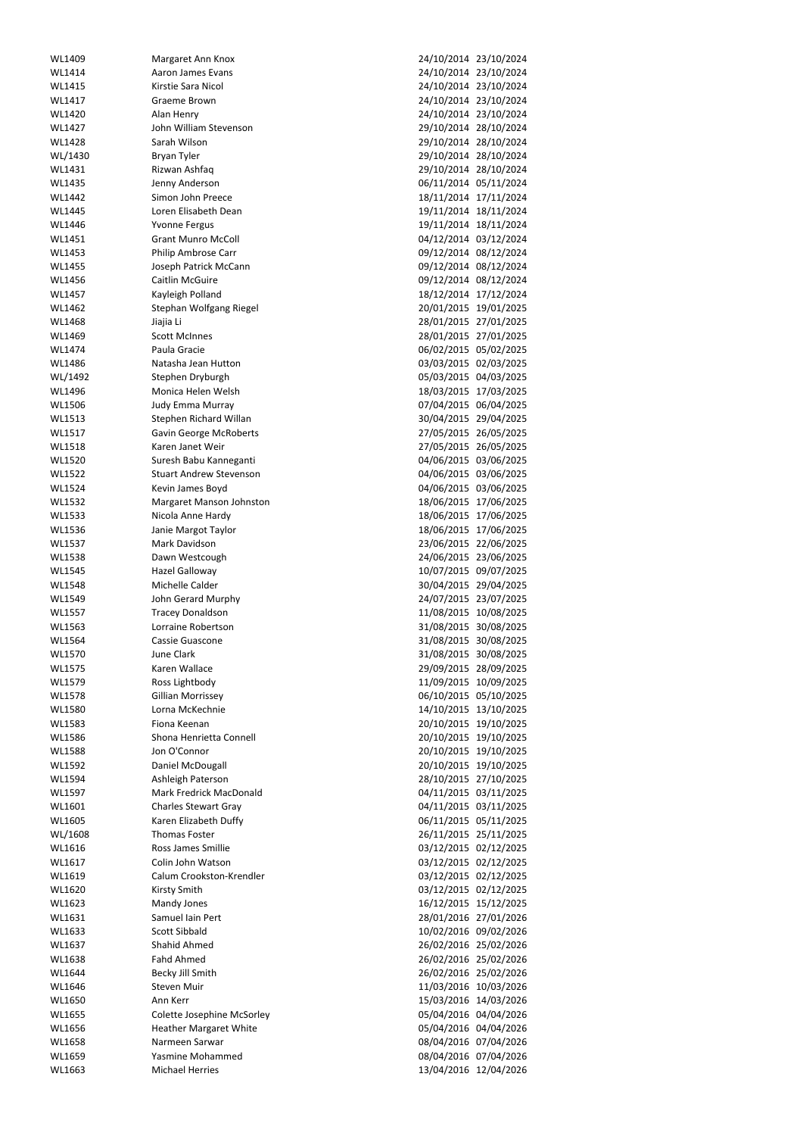| WL1409        | Margaret Ann Knox                 |                       | 24/10/2014 23/10/2024 |
|---------------|-----------------------------------|-----------------------|-----------------------|
| WL1414        | Aaron James Evans                 |                       | 24/10/2014 23/10/2024 |
| WL1415        | Kirstie Sara Nicol                |                       | 24/10/2014 23/10/2024 |
|               |                                   |                       |                       |
| WL1417        | Graeme Brown                      |                       | 24/10/2014 23/10/2024 |
| WL1420        | Alan Henry                        |                       | 24/10/2014 23/10/2024 |
| WL1427        | John William Stevenson            |                       | 29/10/2014 28/10/2024 |
| WL1428        | Sarah Wilson                      |                       | 29/10/2014 28/10/2024 |
| WL/1430       | <b>Bryan Tyler</b>                |                       | 29/10/2014 28/10/2024 |
| WL1431        | Rizwan Ashfaq                     |                       | 29/10/2014 28/10/2024 |
| WL1435        | Jenny Anderson                    |                       | 06/11/2014 05/11/2024 |
| WL1442        | Simon John Preece                 |                       | 18/11/2014 17/11/2024 |
|               |                                   |                       |                       |
| WL1445        | Loren Elisabeth Dean              |                       | 19/11/2014 18/11/2024 |
| WL1446        | <b>Yvonne Fergus</b>              |                       | 19/11/2014 18/11/2024 |
| WL1451        | <b>Grant Munro McColl</b>         |                       | 04/12/2014 03/12/2024 |
| WL1453        | Philip Ambrose Carr               |                       | 09/12/2014 08/12/2024 |
| WL1455        | Joseph Patrick McCann             |                       | 09/12/2014 08/12/2024 |
| WL1456        | <b>Caitlin McGuire</b>            |                       | 09/12/2014 08/12/2024 |
| WL1457        | Kayleigh Polland                  |                       | 18/12/2014 17/12/2024 |
| WL1462        | Stephan Wolfgang Riegel           |                       | 20/01/2015 19/01/2025 |
| WL1468        | Jiajia Li                         |                       | 28/01/2015 27/01/2025 |
|               |                                   |                       |                       |
| WL1469        | <b>Scott McInnes</b>              |                       | 28/01/2015 27/01/2025 |
| WL1474        | Paula Gracie                      |                       | 06/02/2015 05/02/2025 |
| WL1486        | Natasha Jean Hutton               |                       | 03/03/2015 02/03/2025 |
| WL/1492       | Stephen Dryburgh                  |                       | 05/03/2015 04/03/2025 |
| WL1496        | Monica Helen Welsh                |                       | 18/03/2015 17/03/2025 |
| WL1506        | Judy Emma Murray                  |                       | 07/04/2015 06/04/2025 |
| WL1513        | Stephen Richard Willan            |                       | 30/04/2015 29/04/2025 |
| WL1517        | <b>Gavin George McRoberts</b>     |                       | 27/05/2015 26/05/2025 |
| WL1518        | Karen Janet Weir                  |                       | 27/05/2015 26/05/2025 |
|               |                                   |                       |                       |
| WL1520        | Suresh Babu Kanneganti            |                       | 04/06/2015 03/06/2025 |
| WL1522        | <b>Stuart Andrew Stevenson</b>    | 04/06/2015 03/06/2025 |                       |
| <b>WL1524</b> | Kevin James Boyd                  |                       | 04/06/2015 03/06/2025 |
| WL1532        | Margaret Manson Johnston          |                       | 18/06/2015 17/06/2025 |
| WL1533        | Nicola Anne Hardy                 |                       | 18/06/2015 17/06/2025 |
| WL1536        | Janie Margot Taylor               |                       | 18/06/2015 17/06/2025 |
| WL1537        | Mark Davidson                     |                       | 23/06/2015 22/06/2025 |
| WL1538        | Dawn Westcough                    |                       | 24/06/2015 23/06/2025 |
| <b>WL1545</b> | <b>Hazel Galloway</b>             |                       | 10/07/2015 09/07/2025 |
|               |                                   |                       |                       |
| <b>WL1548</b> | Michelle Calder                   |                       | 30/04/2015 29/04/2025 |
| WL1549        | John Gerard Murphy                |                       | 24/07/2015 23/07/2025 |
| WL1557        | <b>Tracey Donaldson</b>           |                       | 11/08/2015 10/08/2025 |
| WL1563        | Lorraine Robertson                |                       | 31/08/2015 30/08/2025 |
| WL1564        | Cassie Guascone                   |                       | 31/08/2015 30/08/2025 |
| WL1570        | June Clark                        |                       | 31/08/2015 30/08/2025 |
| WL1575        | Karen Wallace                     |                       | 29/09/2015 28/09/2025 |
| WL1579        | Ross Lightbody                    |                       | 11/09/2015 10/09/2025 |
| WL1578        | <b>Gillian Morrissey</b>          |                       | 06/10/2015 05/10/2025 |
|               |                                   |                       |                       |
| WL1580        | Lorna McKechnie                   |                       | 14/10/2015 13/10/2025 |
| WL1583        | Fiona Keenan                      |                       | 20/10/2015 19/10/2025 |
| WL1586        | Shona Henrietta Connell           |                       | 20/10/2015 19/10/2025 |
| WL1588        | Jon O'Connor                      |                       | 20/10/2015 19/10/2025 |
| WL1592        | Daniel McDougall                  |                       | 20/10/2015 19/10/2025 |
| WL1594        | Ashleigh Paterson                 |                       | 28/10/2015 27/10/2025 |
| WL1597        | <b>Mark Fredrick MacDonald</b>    |                       | 04/11/2015 03/11/2025 |
| WL1601        | <b>Charles Stewart Gray</b>       |                       | 04/11/2015 03/11/2025 |
| WL1605        | Karen Elizabeth Duffy             |                       | 06/11/2015 05/11/2025 |
| WL/1608       | <b>Thomas Foster</b>              |                       | 26/11/2015 25/11/2025 |
|               |                                   |                       |                       |
| WL1616        | <b>Ross James Smillie</b>         |                       | 03/12/2015 02/12/2025 |
| WL1617        | Colin John Watson                 |                       | 03/12/2015 02/12/2025 |
| WL1619        | Calum Crookston-Krendler          |                       | 03/12/2015 02/12/2025 |
| WL1620        | Kirsty Smith                      |                       | 03/12/2015 02/12/2025 |
| WL1623        | Mandy Jones                       | 16/12/2015 15/12/2025 |                       |
| WL1631        | Samuel Iain Pert                  | 28/01/2016 27/01/2026 |                       |
| WL1633        | <b>Scott Sibbald</b>              |                       | 10/02/2016 09/02/2026 |
| WL1637        | Shahid Ahmed                      |                       | 26/02/2016 25/02/2026 |
|               |                                   |                       |                       |
| WL1638        | <b>Fahd Ahmed</b>                 |                       | 26/02/2016 25/02/2026 |
| WL1644        | Becky Jill Smith                  |                       | 26/02/2016 25/02/2026 |
| WL1646        | Steven Muir                       |                       | 11/03/2016 10/03/2026 |
| WL1650        | Ann Kerr                          |                       | 15/03/2016 14/03/2026 |
| WL1655        | <b>Colette Josephine McSorley</b> | 05/04/2016 04/04/2026 |                       |
| WL1656        | <b>Heather Margaret White</b>     | 05/04/2016 04/04/2026 |                       |
| WL1658        | Narmeen Sarwar                    | 08/04/2016 07/04/2026 |                       |
| WL1659        | Yasmine Mohammed                  | 08/04/2016 07/04/2026 |                       |
| WL1663        | <b>Michael Herries</b>            |                       | 13/04/2016 12/04/2026 |
|               |                                   |                       |                       |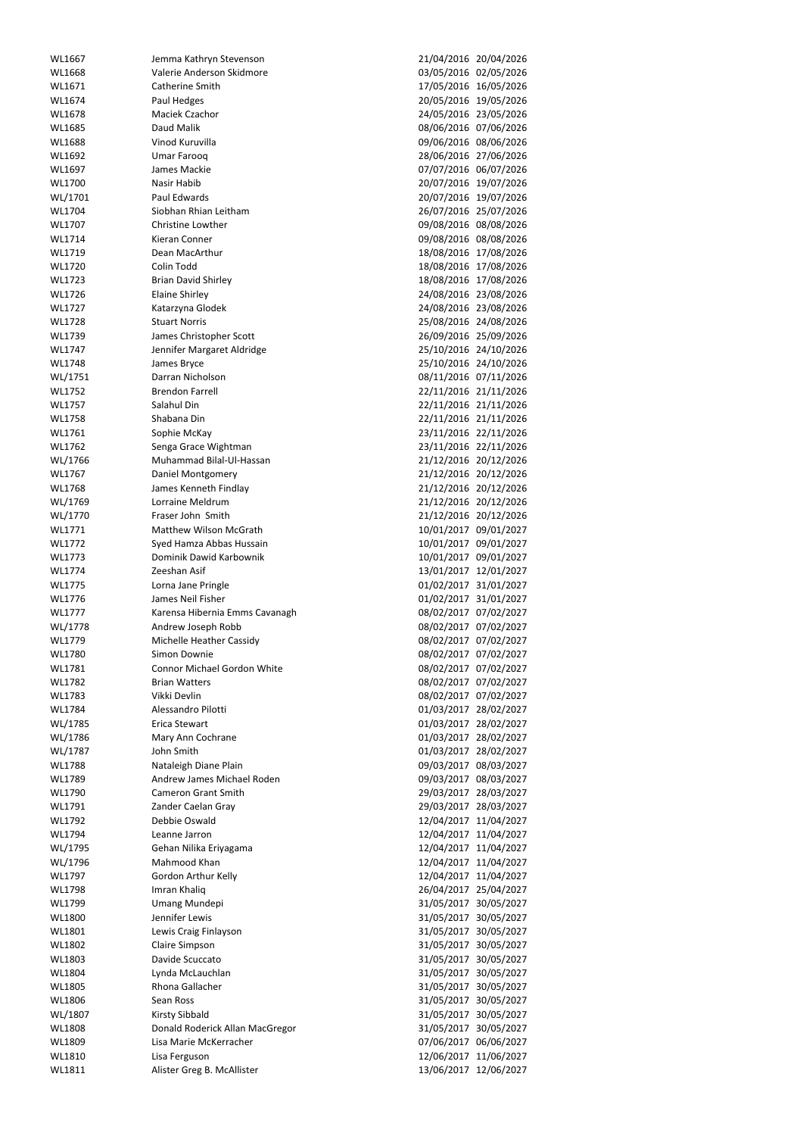| WL1667  | Jemma Kathryn Stevenson                     | 21/04/2016 20/04/2026 |                       |
|---------|---------------------------------------------|-----------------------|-----------------------|
| WL1668  | Valerie Anderson Skidmore                   |                       | 03/05/2016 02/05/2026 |
|         |                                             |                       |                       |
| WL1671  | Catherine Smith                             |                       | 17/05/2016 16/05/2026 |
| WL1674  | Paul Hedges                                 |                       | 20/05/2016 19/05/2026 |
| WL1678  | Maciek Czachor                              |                       | 24/05/2016 23/05/2026 |
| WL1685  | Daud Malik                                  |                       | 08/06/2016 07/06/2026 |
| WL1688  | Vinod Kuruvilla                             |                       | 09/06/2016 08/06/2026 |
| WL1692  | <b>Umar Farooq</b>                          |                       | 28/06/2016 27/06/2026 |
| WL1697  | James Mackie                                |                       | 07/07/2016 06/07/2026 |
|         |                                             |                       |                       |
| WL1700  | Nasir Habib                                 |                       | 20/07/2016 19/07/2026 |
| WL/1701 | Paul Edwards                                |                       | 20/07/2016 19/07/2026 |
| WL1704  | Siobhan Rhian Leitham                       |                       | 26/07/2016 25/07/2026 |
| WL1707  | Christine Lowther                           |                       | 09/08/2016 08/08/2026 |
| WL1714  | Kieran Conner                               |                       | 09/08/2016 08/08/2026 |
| WL1719  | Dean MacArthur                              |                       | 18/08/2016 17/08/2026 |
| WL1720  | Colin Todd                                  |                       |                       |
|         |                                             |                       | 18/08/2016 17/08/2026 |
| WL1723  | <b>Brian David Shirley</b>                  |                       | 18/08/2016 17/08/2026 |
| WL1726  | <b>Elaine Shirley</b>                       |                       | 24/08/2016 23/08/2026 |
| WL1727  | Katarzyna Glodek                            |                       | 24/08/2016 23/08/2026 |
| WL1728  | <b>Stuart Norris</b>                        |                       | 25/08/2016 24/08/2026 |
| WL1739  | James Christopher Scott                     |                       | 26/09/2016 25/09/2026 |
| WL1747  | Jennifer Margaret Aldridge                  |                       | 25/10/2016 24/10/2026 |
|         |                                             |                       |                       |
| WL1748  | James Bryce                                 |                       | 25/10/2016 24/10/2026 |
| WL/1751 | Darran Nicholson                            |                       | 08/11/2016 07/11/2026 |
| WL1752  | <b>Brendon Farrell</b>                      |                       | 22/11/2016 21/11/2026 |
| WL1757  | Salahul Din                                 |                       | 22/11/2016 21/11/2026 |
| WL1758  | Shabana Din                                 |                       | 22/11/2016 21/11/2026 |
| WL1761  | Sophie McKay                                |                       | 23/11/2016 22/11/2026 |
| WL1762  | Senga Grace Wightman                        |                       | 23/11/2016 22/11/2026 |
|         |                                             |                       |                       |
| WL/1766 | Muhammad Bilal-Ul-Hassan                    |                       | 21/12/2016 20/12/2026 |
| WL1767  | Daniel Montgomery                           |                       | 21/12/2016 20/12/2026 |
| WL1768  | James Kenneth Findlay                       |                       | 21/12/2016 20/12/2026 |
| WL/1769 | Lorraine Meldrum                            |                       | 21/12/2016 20/12/2026 |
| WL/1770 | Fraser John Smith                           |                       | 21/12/2016 20/12/2026 |
| WL1771  | Matthew Wilson McGrath                      |                       | 10/01/2017 09/01/2027 |
|         | Syed Hamza Abbas Hussain                    | 10/01/2017            | 09/01/2027            |
| WL1772  |                                             |                       |                       |
| WL1773  | Dominik Dawid Karbownik                     | 10/01/2017            | 09/01/2027            |
| WL1774  | Zeeshan Asif                                |                       | 13/01/2017 12/01/2027 |
| WL1775  | Lorna Jane Pringle                          | 01/02/2017            | 31/01/2027            |
|         | James Neil Fisher                           |                       | 01/02/2017 31/01/2027 |
| WL1776  |                                             |                       |                       |
|         |                                             |                       |                       |
| WL1777  | Karensa Hibernia Emms Cavanagh              | 08/02/2017            | 07/02/2027            |
| WL/1778 | Andrew Joseph Robb                          | 08/02/2017            | 07/02/2027            |
| WL1779  | Michelle Heather Cassidy                    | 08/02/2017            | 07/02/2027            |
| WL1780  | Simon Downie                                | 08/02/2017            | 07/02/2027            |
| WL1781  | <b>Connor Michael Gordon White</b>          |                       | 08/02/2017 07/02/2027 |
| WL1782  | <b>Brian Watters</b>                        | 08/02/2017            | 07/02/2027            |
| WL1783  | Vikki Devlin                                |                       |                       |
|         |                                             |                       | 08/02/2017 07/02/2027 |
| WL1784  | Alessandro Pilotti                          | 01/03/2017            | 28/02/2027            |
| WL/1785 | Erica Stewart                               | 01/03/2017            | 28/02/2027            |
| WL/1786 | Mary Ann Cochrane                           | 01/03/2017            | 28/02/2027            |
| WL/1787 | John Smith                                  | 01/03/2017            | 28/02/2027            |
| WL1788  | Nataleigh Diane Plain                       | 09/03/2017            | 08/03/2027            |
| WL1789  | Andrew James Michael Roden                  | 09/03/2017            | 08/03/2027            |
| WL1790  | <b>Cameron Grant Smith</b>                  | 29/03/2017            | 28/03/2027            |
|         |                                             |                       |                       |
| WL1791  | Zander Caelan Gray                          | 29/03/2017            | 28/03/2027            |
| WL1792  | Debbie Oswald                               | 12/04/2017            | 11/04/2027            |
| WL1794  | Leanne Jarron                               | 12/04/2017            | 11/04/2027            |
| WL/1795 | Gehan Nilika Eriyagama                      | 12/04/2017            | 11/04/2027            |
| WL/1796 | Mahmood Khan                                | 12/04/2017            | 11/04/2027            |
| WL1797  | Gordon Arthur Kelly                         | 12/04/2017            | 11/04/2027            |
| WL1798  |                                             |                       |                       |
| WL1799  | Imran Khaliq                                | 26/04/2017            | 25/04/2027            |
|         | <b>Umang Mundepi</b>                        | 31/05/2017            | 30/05/2027            |
| WL1800  | Jennifer Lewis                              |                       | 31/05/2017 30/05/2027 |
| WL1801  | Lewis Craig Finlayson                       |                       | 31/05/2017 30/05/2027 |
| WL1802  | <b>Claire Simpson</b>                       | 31/05/2017            | 30/05/2027            |
| WL1803  | Davide Scuccato                             | 31/05/2017            | 30/05/2027            |
| WL1804  | Lynda McLauchlan                            | 31/05/2017            | 30/05/2027            |
| WL1805  | Rhona Gallacher                             | 31/05/2017            | 30/05/2027            |
|         |                                             |                       |                       |
| WL1806  | Sean Ross                                   | 31/05/2017            | 30/05/2027            |
| WL/1807 | <b>Kirsty Sibbald</b>                       | 31/05/2017            | 30/05/2027            |
| WL1808  | Donald Roderick Allan MacGregor             |                       | 31/05/2017 30/05/2027 |
| WL1809  | Lisa Marie McKerracher                      | 07/06/2017            | 06/06/2027            |
| WL1810  | Lisa Ferguson<br>Alister Greg B. McAllister | 12/06/2017            | 11/06/2027            |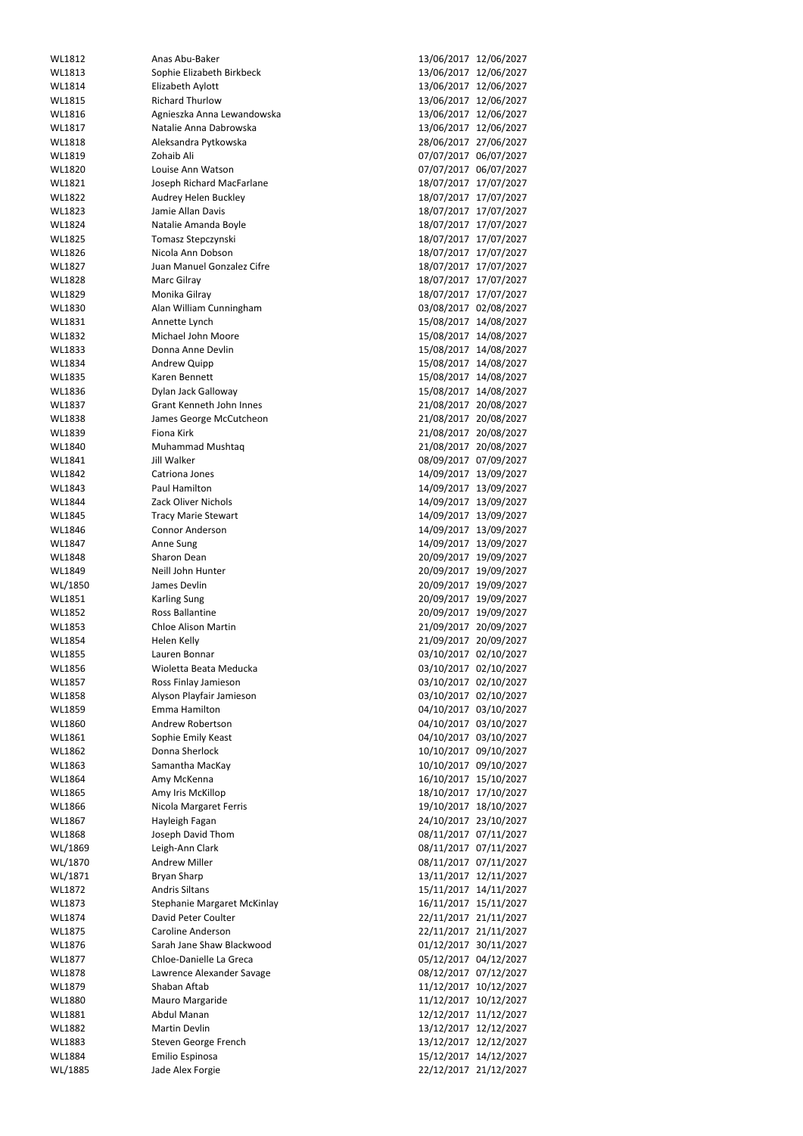| WL1812            | Anas Abu-Baker                      | 13/06/2017<br>12/06/2027                             |
|-------------------|-------------------------------------|------------------------------------------------------|
| WL1813            | Sophie Elizabeth Birkbeck           | 13/06/2017<br>12/06/2027                             |
|                   |                                     |                                                      |
| WL1814            | Elizabeth Aylott                    | 13/06/2017<br>12/06/2027                             |
| WL1815            | <b>Richard Thurlow</b>              | 13/06/2017<br>12/06/2027                             |
| WL1816            | Agnieszka Anna Lewandowska          | 13/06/2017<br>12/06/2027                             |
| WL1817            | Natalie Anna Dabrowska              | 13/06/2017<br>12/06/2027                             |
| WL1818            | Aleksandra Pytkowska                | 28/06/2017<br>27/06/2027                             |
| WL1819            | Zohaib Ali                          | 07/07/2017<br>06/07/2027                             |
| WL1820            | Louise Ann Watson                   | 07/07/2017<br>06/07/2027                             |
| WL1821            | Joseph Richard MacFarlane           | 18/07/2017<br>17/07/2027                             |
|                   |                                     |                                                      |
| WL1822            | Audrey Helen Buckley                | 18/07/2017<br>17/07/2027                             |
| WL1823            | Jamie Allan Davis                   | 18/07/2017<br>17/07/2027                             |
| WL1824            | Natalie Amanda Boyle                | 18/07/2017<br>17/07/2027                             |
| WL1825            | Tomasz Stepczynski                  | 17/07/2027<br>18/07/2017                             |
| WL1826            | Nicola Ann Dobson                   | 18/07/2017<br>17/07/2027                             |
| WL1827            | Juan Manuel Gonzalez Cifre          | 18/07/2017<br>17/07/2027                             |
| WL1828            | Marc Gilray                         | 18/07/2017<br>17/07/2027                             |
| WL1829            |                                     | 18/07/2017                                           |
|                   | Monika Gilray                       | 17/07/2027                                           |
| WL1830            | Alan William Cunningham             | 03/08/2017<br>02/08/2027                             |
| WL1831            | Annette Lynch                       | 15/08/2017<br>14/08/2027                             |
| WL1832            | Michael John Moore                  | 15/08/2017<br>14/08/2027                             |
| WL1833            | Donna Anne Devlin                   | 15/08/2017<br>14/08/2027                             |
| WL1834            | Andrew Quipp                        | 15/08/2017<br>14/08/2027                             |
| WL1835            | Karen Bennett                       | 15/08/2017<br>14/08/2027                             |
| WL1836            | Dylan Jack Galloway                 | 15/08/2017<br>14/08/2027                             |
|                   |                                     |                                                      |
| WL1837            | Grant Kenneth John Innes            | 21/08/2017<br>20/08/2027                             |
| WL1838            | James George McCutcheon             | 21/08/2017<br>20/08/2027                             |
| WL1839            | Fiona Kirk                          | 21/08/2017<br>20/08/2027                             |
| WL1840            | Muhammad Mushtaq                    | 21/08/2017<br>20/08/2027                             |
| WL1841            | Jill Walker                         | 08/09/2017<br>07/09/2027                             |
| WL1842            | Catriona Jones                      | 14/09/2017<br>13/09/2027                             |
|                   |                                     |                                                      |
| WL1843            | Paul Hamilton                       | 14/09/2017<br>13/09/2027                             |
| WL1844            | Zack Oliver Nichols                 | 14/09/2017<br>13/09/2027                             |
| WL1845            | <b>Tracy Marie Stewart</b>          | 14/09/2017<br>13/09/2027                             |
| WL1846            | <b>Connor Anderson</b>              | 14/09/2017<br>13/09/2027                             |
| WL1847            | Anne Sung                           | 13/09/2027<br>14/09/2017                             |
| WL1848            | Sharon Dean                         | 20/09/2017<br>19/09/2027                             |
| WL1849            | Neill John Hunter                   | 20/09/2017<br>19/09/2027                             |
|                   |                                     |                                                      |
| WL/1850           | James Devlin                        | 20/09/2017<br>19/09/2027                             |
| WL1851            | <b>Karling Sung</b>                 | 20/09/2017<br>19/09/2027                             |
| WL1852            | <b>Ross Ballantine</b>              | 20/09/2017<br>19/09/2027                             |
| WL1853            | <b>Chloe Alison Martin</b>          | 21/09/2017<br>20/09/2027                             |
| WL1854            | Helen Kelly                         | 21/09/2017<br>20/09/2027                             |
| WL1855            | Lauren Bonnar                       | 03/10/2017<br>02/10/2027                             |
| WL1856            | Wioletta Beata Meducka              | 03/10/2017<br>02/10/2027                             |
| WL1857            |                                     | 03/10/2017<br>02/10/2027                             |
|                   | Ross Finlay Jamieson                |                                                      |
| WL1858            | Alyson Playfair Jamieson            | 03/10/2017 02/10/2027                                |
| WL1859            | Emma Hamilton                       | 04/10/2017<br>03/10/2027                             |
| WL1860            | Andrew Robertson                    | 04/10/2017<br>03/10/2027                             |
| WL1861            | Sophie Emily Keast                  | 03/10/2027<br>04/10/2017                             |
| WL1862            | Donna Sherlock                      | 10/10/2017<br>09/10/2027                             |
| WL1863            | Samantha MacKay                     | 10/10/2017<br>09/10/2027                             |
| WL1864            | Amy McKenna                         | 16/10/2017<br>15/10/2027                             |
|                   |                                     |                                                      |
| WL1865            | Amy Iris McKillop                   | 18/10/2017<br>17/10/2027                             |
| WL1866            | Nicola Margaret Ferris              | 19/10/2017<br>18/10/2027                             |
| WL1867            | Hayleigh Fagan                      | 24/10/2017<br>23/10/2027                             |
| WL1868            | Joseph David Thom                   | 08/11/2017<br>07/11/2027                             |
| WL/1869           | Leigh-Ann Clark                     | 08/11/2017<br>07/11/2027                             |
| WL/1870           | <b>Andrew Miller</b>                | 08/11/2017 07/11/2027                                |
| WL/1871           | <b>Bryan Sharp</b>                  | 13/11/2017<br>12/11/2027                             |
|                   |                                     |                                                      |
| WL1872            | <b>Andris Siltans</b>               | 15/11/2017<br>14/11/2027                             |
| WL1873            | Stephanie Margaret McKinlay         | 16/11/2017<br>15/11/2027                             |
| WL1874            | David Peter Coulter                 | 22/11/2017 21/11/2027                                |
| WL1875            | <b>Caroline Anderson</b>            | 22/11/2017 21/11/2027                                |
| WL1876            | Sarah Jane Shaw Blackwood           | 01/12/2017<br>30/11/2027                             |
| WL1877            | Chloe-Danielle La Greca             | 05/12/2017 04/12/2027                                |
| WL1878            | Lawrence Alexander Savage           | 08/12/2017<br>07/12/2027                             |
|                   |                                     |                                                      |
| WL1879            |                                     |                                                      |
| WL1880            | Shaban Aftab                        | 11/12/2017<br>10/12/2027                             |
|                   | Mauro Margaride                     | 11/12/2017<br>10/12/2027                             |
| WL1881            | Abdul Manan                         | 12/12/2017<br>11/12/2027                             |
| WL1882            | <b>Martin Devlin</b>                | 13/12/2017<br>12/12/2027                             |
| WL1883            |                                     |                                                      |
|                   | Steven George French                | 13/12/2017<br>12/12/2027                             |
| WL1884<br>WL/1885 | Emilio Espinosa<br>Jade Alex Forgie | 15/12/2017<br>14/12/2027<br>22/12/2017<br>21/12/2027 |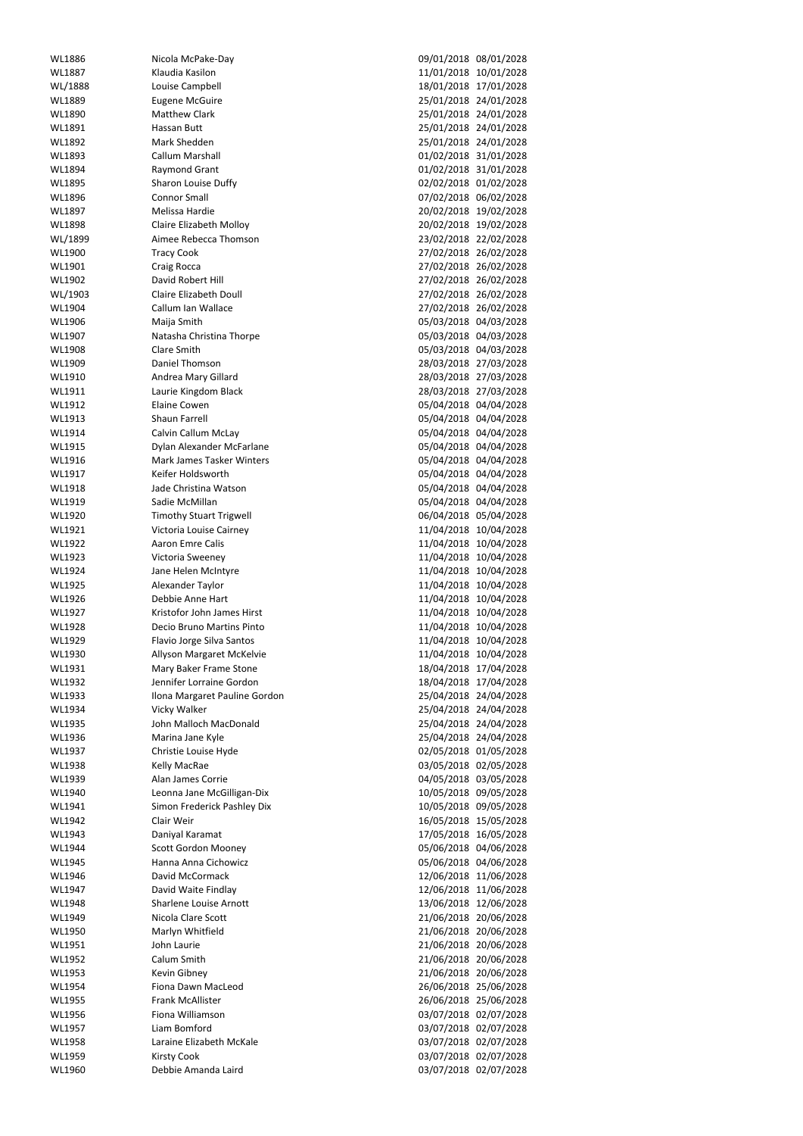| WL1886        | Nicola McPake-Day                | 09/01/2018 08/01/2028 |
|---------------|----------------------------------|-----------------------|
|               |                                  |                       |
| WL1887        | Klaudia Kasilon                  | 11/01/2018 10/01/2028 |
| WL/1888       | Louise Campbell                  | 18/01/2018 17/01/2028 |
| WL1889        | <b>Eugene McGuire</b>            | 25/01/2018 24/01/2028 |
| WL1890        | <b>Matthew Clark</b>             | 25/01/2018 24/01/2028 |
| WL1891        | Hassan Butt                      | 25/01/2018 24/01/2028 |
|               |                                  |                       |
| WL1892        | Mark Shedden                     | 25/01/2018 24/01/2028 |
| WL1893        | Callum Marshall                  | 01/02/2018 31/01/2028 |
| WL1894        | Raymond Grant                    | 01/02/2018 31/01/2028 |
| WL1895        | Sharon Louise Duffy              | 02/02/2018 01/02/2028 |
| WL1896        | <b>Connor Small</b>              | 07/02/2018 06/02/2028 |
|               |                                  |                       |
| WL1897        | Melissa Hardie                   | 20/02/2018 19/02/2028 |
| WL1898        | Claire Elizabeth Molloy          | 20/02/2018 19/02/2028 |
| WL/1899       | Aimee Rebecca Thomson            | 23/02/2018 22/02/2028 |
| WL1900        | <b>Tracy Cook</b>                | 27/02/2018 26/02/2028 |
| WL1901        | Craig Rocca                      | 27/02/2018 26/02/2028 |
|               |                                  |                       |
| WL1902        | David Robert Hill                | 27/02/2018 26/02/2028 |
| WL/1903       | <b>Claire Elizabeth Doull</b>    | 27/02/2018 26/02/2028 |
| WL1904        | Callum Ian Wallace               | 27/02/2018 26/02/2028 |
| WL1906        | Maija Smith                      | 05/03/2018 04/03/2028 |
| WL1907        | Natasha Christina Thorpe         | 05/03/2018 04/03/2028 |
|               |                                  |                       |
| WL1908        | Clare Smith                      | 05/03/2018 04/03/2028 |
| WL1909        | Daniel Thomson                   | 28/03/2018 27/03/2028 |
| WL1910        | Andrea Mary Gillard              | 28/03/2018 27/03/2028 |
| WL1911        | Laurie Kingdom Black             | 28/03/2018 27/03/2028 |
| WL1912        | <b>Elaine Cowen</b>              | 05/04/2018 04/04/2028 |
|               |                                  |                       |
| WL1913        | <b>Shaun Farrell</b>             | 05/04/2018 04/04/2028 |
| WL1914        | <b>Calvin Callum McLay</b>       | 05/04/2018 04/04/2028 |
| WL1915        | Dylan Alexander McFarlane        | 05/04/2018 04/04/2028 |
| WL1916        | <b>Mark James Tasker Winters</b> | 05/04/2018 04/04/2028 |
| WL1917        | Keifer Holdsworth                | 05/04/2018 04/04/2028 |
|               |                                  |                       |
| WL1918        | Jade Christina Watson            | 05/04/2018 04/04/2028 |
| WL1919        | Sadie McMillan                   | 05/04/2018 04/04/2028 |
| WL1920        | <b>Timothy Stuart Trigwell</b>   | 06/04/2018 05/04/2028 |
| WL1921        | Victoria Louise Cairney          | 11/04/2018 10/04/2028 |
| WL1922        | <b>Aaron Emre Calis</b>          | 11/04/2018 10/04/2028 |
| WL1923        |                                  |                       |
|               | Victoria Sweeney                 | 11/04/2018 10/04/2028 |
| WL1924        | Jane Helen McIntyre              | 11/04/2018 10/04/2028 |
| WL1925        | Alexander Taylor                 | 11/04/2018 10/04/2028 |
| WL1926        | Debbie Anne Hart                 | 11/04/2018 10/04/2028 |
| WL1927        | Kristofor John James Hirst       | 11/04/2018 10/04/2028 |
|               |                                  |                       |
| WL1928        | Decio Bruno Martins Pinto        | 11/04/2018 10/04/2028 |
| WL1929        | Flavio Jorge Silva Santos        | 11/04/2018 10/04/2028 |
| WL1930        | Allyson Margaret McKelvie        | 11/04/2018 10/04/2028 |
| WL1931        | Mary Baker Frame Stone           | 18/04/2018 17/04/2028 |
| WL1932        | Jennifer Lorraine Gordon         | 18/04/2018 17/04/2028 |
| WL1933        | Ilona Margaret Pauline Gordon    | 25/04/2018 24/04/2028 |
|               |                                  |                       |
| WL1934        | Vicky Walker                     | 25/04/2018 24/04/2028 |
| WL1935        | John Malloch MacDonald           | 25/04/2018 24/04/2028 |
| WL1936        | Marina Jane Kyle                 | 25/04/2018 24/04/2028 |
| WL1937        | Christie Louise Hyde             | 02/05/2018 01/05/2028 |
| WL1938        | Kelly MacRae                     | 03/05/2018 02/05/2028 |
| WL1939        | Alan James Corrie                | 04/05/2018 03/05/2028 |
|               |                                  |                       |
| WL1940        | Leonna Jane McGilligan-Dix       | 10/05/2018 09/05/2028 |
| WL1941        | Simon Frederick Pashley Dix      | 10/05/2018 09/05/2028 |
| WL1942        | Clair Weir                       | 16/05/2018 15/05/2028 |
| WL1943        | Daniyal Karamat                  | 17/05/2018 16/05/2028 |
| WL1944        | <b>Scott Gordon Mooney</b>       | 05/06/2018 04/06/2028 |
|               |                                  |                       |
| WL1945        | Hanna Anna Cichowicz             | 05/06/2018 04/06/2028 |
| WL1946        | David McCormack                  | 12/06/2018 11/06/2028 |
| WL1947        | David Waite Findlay              | 12/06/2018 11/06/2028 |
| <b>WL1948</b> | Sharlene Louise Arnott           | 13/06/2018 12/06/2028 |
| WL1949        | Nicola Clare Scott               | 21/06/2018 20/06/2028 |
|               |                                  |                       |
| WL1950        | Marlyn Whitfield                 | 21/06/2018 20/06/2028 |
| WL1951        | John Laurie                      | 21/06/2018 20/06/2028 |
| WL1952        | Calum Smith                      | 21/06/2018 20/06/2028 |
| WL1953        | Kevin Gibney                     | 21/06/2018 20/06/2028 |
| WL1954        | Fiona Dawn MacLeod               | 26/06/2018 25/06/2028 |
|               |                                  |                       |
| WL1955        | Frank McAllister                 | 26/06/2018 25/06/2028 |
| WL1956        | Fiona Williamson                 | 03/07/2018 02/07/2028 |
| WL1957        | Liam Bomford                     | 03/07/2018 02/07/2028 |
| WL1958        | Laraine Elizabeth McKale         | 03/07/2018 02/07/2028 |
| WL1959        | <b>Kirsty Cook</b>               | 03/07/2018 02/07/2028 |
| WL1960        |                                  | 03/07/2018 02/07/2028 |
|               | Debbie Amanda Laird              |                       |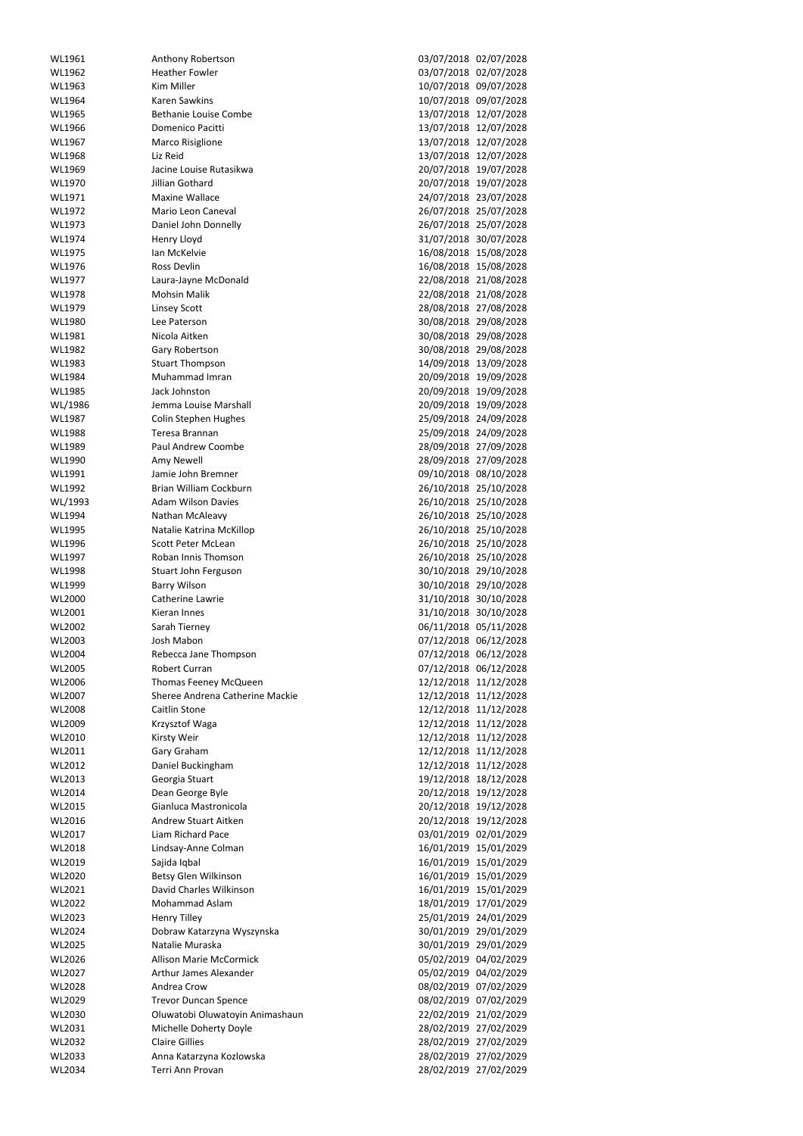| WL1961           | Anthony Robertson                              | 03/07/2018 02/07/2028                          |
|------------------|------------------------------------------------|------------------------------------------------|
| WL1962           | <b>Heather Fowler</b>                          | 03/07/2018 02/07/2028                          |
| WL1963           | Kim Miller                                     | 10/07/2018 09/07/2028                          |
| WL1964           | <b>Karen Sawkins</b>                           | 10/07/2018 09/07/2028                          |
| WL1965           | <b>Bethanie Louise Combe</b>                   | 13/07/2018 12/07/2028                          |
| WL1966           | Domenico Pacitti                               | 13/07/2018 12/07/2028                          |
| WL1967           | <b>Marco Risiglione</b>                        | 13/07/2018 12/07/2028                          |
| WL1968           | Liz Reid                                       | 13/07/2018 12/07/2028                          |
| WL1969           | Jacine Louise Rutasikwa                        | 20/07/2018 19/07/2028                          |
| WL1970           | Jillian Gothard                                | 20/07/2018 19/07/2028                          |
| WL1971           | <b>Maxine Wallace</b><br>Mario Leon Caneval    | 24/07/2018 23/07/2028                          |
| WL1972<br>WL1973 | Daniel John Donnelly                           | 26/07/2018 25/07/2028<br>26/07/2018 25/07/2028 |
| WL1974           | Henry Lloyd                                    | 31/07/2018 30/07/2028                          |
| WL1975           | Ian McKelvie                                   | 16/08/2018 15/08/2028                          |
| WL1976           | Ross Devlin                                    | 16/08/2018 15/08/2028                          |
| WL1977           | Laura-Jayne McDonald                           | 22/08/2018 21/08/2028                          |
| WL1978           | <b>Mohsin Malik</b>                            | 22/08/2018 21/08/2028                          |
| WL1979           | <b>Linsey Scott</b>                            | 28/08/2018 27/08/2028                          |
| WL1980           | Lee Paterson                                   | 30/08/2018 29/08/2028                          |
| WL1981           | Nicola Aitken                                  | 30/08/2018 29/08/2028                          |
| WL1982           | Gary Robertson                                 | 30/08/2018 29/08/2028                          |
| WL1983           | <b>Stuart Thompson</b>                         | 14/09/2018 13/09/2028                          |
| WL1984           | Muhammad Imran                                 | 20/09/2018 19/09/2028                          |
| WL1985           | Jack Johnston                                  | 20/09/2018 19/09/2028                          |
| WL/1986          | Jemma Louise Marshall                          | 20/09/2018 19/09/2028                          |
| WL1987           | <b>Colin Stephen Hughes</b>                    | 25/09/2018 24/09/2028                          |
| WL1988           | Teresa Brannan                                 | 25/09/2018 24/09/2028                          |
| WL1989           | Paul Andrew Coombe                             | 28/09/2018 27/09/2028                          |
| WL1990           | Amy Newell                                     | 28/09/2018 27/09/2028                          |
| WL1991           | Jamie John Bremner                             | 09/10/2018 08/10/2028                          |
| WL1992           | Brian William Cockburn                         | 26/10/2018 25/10/2028                          |
| WL/1993          | <b>Adam Wilson Davies</b>                      | 26/10/2018 25/10/2028                          |
| WL1994           | Nathan McAleavy                                | 26/10/2018 25/10/2028<br>26/10/2018 25/10/2028 |
| WL1995<br>WL1996 | Natalie Katrina McKillop<br>Scott Peter McLean | 26/10/2018 25/10/2028                          |
| WL1997           | Roban Innis Thomson                            | 26/10/2018 25/10/2028                          |
| WL1998           | Stuart John Ferguson                           | 30/10/2018 29/10/2028                          |
| WL1999           | <b>Barry Wilson</b>                            | 30/10/2018 29/10/2028                          |
| WL2000           | Catherine Lawrie                               | 31/10/2018 30/10/2028                          |
| WL2001           | Kieran Innes                                   | 31/10/2018 30/10/2028                          |
| WL2002           | Sarah Tierney                                  | 06/11/2018 05/11/2028                          |
| WL2003           | Josh Mabon                                     | 07/12/2018 06/12/2028                          |
| WL2004           | Rebecca Jane Thompson                          | 07/12/2018 06/12/2028                          |
| WL2005           | Robert Curran                                  | 07/12/2018 06/12/2028                          |
| WL2006           | Thomas Feeney McQueen                          | 12/12/2018 11/12/2028                          |
| WL2007           | Sheree Andrena Catherine Mackie                | 12/12/2018 11/12/2028                          |
| WL2008           | Caitlin Stone                                  | 12/12/2018 11/12/2028                          |
| WL2009           | Krzysztof Waga                                 | 12/12/2018 11/12/2028                          |
| WL2010           | Kirsty Weir                                    | 12/12/2018 11/12/2028                          |
| WL2011           | Gary Graham                                    | 12/12/2018 11/12/2028                          |
| WL2012           | Daniel Buckingham                              | 12/12/2018 11/12/2028                          |
| WL2013           | Georgia Stuart                                 | 19/12/2018 18/12/2028                          |
| WL2014           | Dean George Byle<br>Gianluca Mastronicola      | 20/12/2018 19/12/2028                          |
| WL2015<br>WL2016 | <b>Andrew Stuart Aitken</b>                    | 20/12/2018 19/12/2028<br>20/12/2018 19/12/2028 |
| WL2017           | Liam Richard Pace                              | 03/01/2019 02/01/2029                          |
| WL2018           | Lindsay-Anne Colman                            | 16/01/2019 15/01/2029                          |
| WL2019           | Sajida Iqbal                                   | 16/01/2019 15/01/2029                          |
| WL2020           | Betsy Glen Wilkinson                           | 16/01/2019 15/01/2029                          |
| WL2021           | David Charles Wilkinson                        | 16/01/2019 15/01/2029                          |
| WL2022           | Mohammad Aslam                                 | 18/01/2019 17/01/2029                          |
| WL2023           | <b>Henry Tilley</b>                            | 25/01/2019 24/01/2029                          |
| WL2024           | Dobraw Katarzyna Wyszynska                     | 30/01/2019 29/01/2029                          |
| WL2025           | Natalie Muraska                                | 30/01/2019 29/01/2029                          |
| WL2026           | <b>Allison Marie McCormick</b>                 | 05/02/2019 04/02/2029                          |
| WL2027           | Arthur James Alexander                         | 05/02/2019 04/02/2029                          |
| WL2028           | Andrea Crow                                    | 08/02/2019 07/02/2029                          |
| WL2029           | <b>Trevor Duncan Spence</b>                    | 08/02/2019 07/02/2029                          |
| WL2030           | Oluwatobi Oluwatoyin Animashaun                | 22/02/2019 21/02/2029                          |
| WL2031           | Michelle Doherty Doyle                         | 28/02/2019 27/02/2029                          |
| WL2032           | <b>Claire Gillies</b>                          | 28/02/2019 27/02/2029                          |
| WL2033<br>WL2034 | Anna Katarzyna Kozlowska<br>Terri Ann Provan   | 28/02/2019 27/02/2029<br>28/02/2019 27/02/2029 |
|                  |                                                |                                                |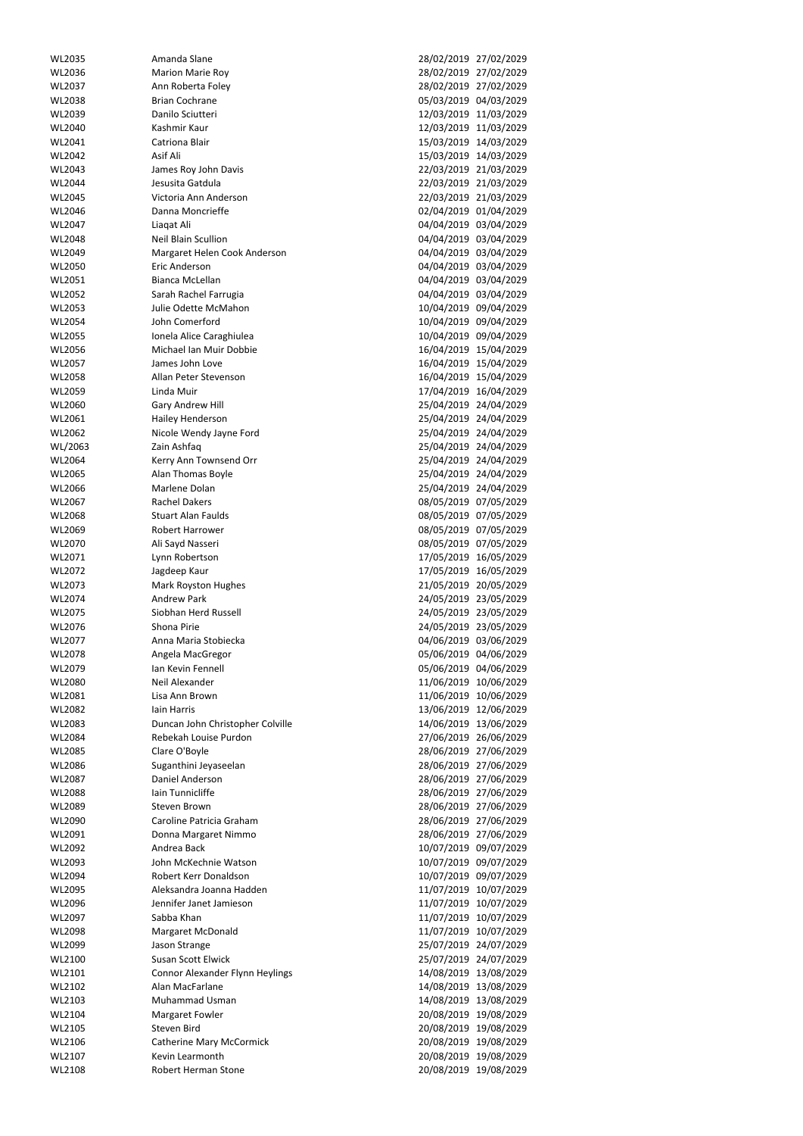| WL2035           | Amanda Slane                                  | 28/02/2019 27/02/2029                             |
|------------------|-----------------------------------------------|---------------------------------------------------|
|                  |                                               |                                                   |
| WL2036           | <b>Marion Marie Roy</b>                       | 28/02/2019<br>27/02/2029                          |
| WL2037           | Ann Roberta Foley                             | 28/02/2019<br>27/02/2029                          |
|                  |                                               |                                                   |
| WL2038           | <b>Brian Cochrane</b>                         | 05/03/2019 04/03/2029                             |
| WL2039           | Danilo Sciutteri                              | 11/03/2029<br>12/03/2019                          |
| WL2040           | Kashmir Kaur                                  | 12/03/2019<br>11/03/2029                          |
|                  |                                               |                                                   |
| WL2041           | Catriona Blair                                | 15/03/2019<br>14/03/2029                          |
| WL2042           | Asif Ali                                      | 15/03/2019<br>14/03/2029                          |
| WL2043           | James Roy John Davis                          | 22/03/2019 21/03/2029                             |
|                  |                                               |                                                   |
| WL2044           | Jesusita Gatdula                              | 22/03/2019<br>21/03/2029                          |
| WL2045           | Victoria Ann Anderson                         | 22/03/2019<br>21/03/2029                          |
| WL2046           | Danna Moncrieffe                              | 02/04/2019<br>01/04/2029                          |
|                  |                                               |                                                   |
| WL2047           | Liagat Ali                                    | 04/04/2019 03/04/2029                             |
| WL2048           | <b>Neil Blain Scullion</b>                    | 04/04/2019 03/04/2029                             |
|                  |                                               |                                                   |
| WL2049           | Margaret Helen Cook Anderson                  | 04/04/2019<br>03/04/2029                          |
| WL2050           | Eric Anderson                                 | 04/04/2019 03/04/2029                             |
| WL2051           | Bianca McLellan                               | 04/04/2019<br>03/04/2029                          |
|                  |                                               |                                                   |
| WL2052           | Sarah Rachel Farrugia                         | 04/04/2019 03/04/2029                             |
| WL2053           | Julie Odette McMahon                          | 10/04/2019<br>09/04/2029                          |
|                  |                                               |                                                   |
| WL2054           | John Comerford                                | 10/04/2019<br>09/04/2029                          |
| WL2055           | Ionela Alice Caraghiulea                      | 10/04/2019<br>09/04/2029                          |
| WL2056           | Michael Ian Muir Dobbie                       | 16/04/2019<br>15/04/2029                          |
|                  |                                               |                                                   |
| WL2057           | James John Love                               | 16/04/2019<br>15/04/2029                          |
| WL2058           | Allan Peter Stevenson                         | 16/04/2019<br>15/04/2029                          |
| WL2059           | Linda Muir                                    | 17/04/2019<br>16/04/2029                          |
|                  |                                               |                                                   |
| WL2060           | Gary Andrew Hill                              | 25/04/2019<br>24/04/2029                          |
| WL2061           | Hailey Henderson                              | 25/04/2019<br>24/04/2029                          |
|                  |                                               |                                                   |
| WL2062           | Nicole Wendy Jayne Ford                       | 25/04/2019 24/04/2029                             |
| WL/2063          | Zain Ashfaq                                   | 25/04/2019<br>24/04/2029                          |
| WL2064           | Kerry Ann Townsend Orr                        | 25/04/2019 24/04/2029                             |
|                  |                                               |                                                   |
| WL2065           | Alan Thomas Boyle                             | 25/04/2019 24/04/2029                             |
| WL2066           | Marlene Dolan                                 | 25/04/2019 24/04/2029                             |
| WL2067           | <b>Rachel Dakers</b>                          | 08/05/2019 07/05/2029                             |
|                  |                                               |                                                   |
| WL2068           | <b>Stuart Alan Faulds</b>                     | 08/05/2019 07/05/2029                             |
| WL2069           | Robert Harrower                               | 08/05/2019 07/05/2029                             |
|                  |                                               |                                                   |
| WL2070           | Ali Sayd Nasseri                              | 08/05/2019<br>07/05/2029                          |
| WL2071           | Lynn Robertson                                | 17/05/2019<br>16/05/2029                          |
| WL2072           | Jagdeep Kaur                                  | 17/05/2019<br>16/05/2029                          |
|                  |                                               |                                                   |
| WL2073           | <b>Mark Royston Hughes</b>                    | 21/05/2019<br>20/05/2029                          |
| WL2074           | <b>Andrew Park</b>                            | 24/05/2019 23/05/2029                             |
|                  | Siobhan Herd Russell                          | 24/05/2019                                        |
| WL2075           |                                               | 23/05/2029                                        |
| WL2076           | Shona Pirie                                   | 24/05/2019<br>23/05/2029                          |
| WL2077           | Anna Maria Stobiecka                          | 04/06/2019<br>03/06/2029                          |
|                  |                                               |                                                   |
| WL2078           | Angela MacGregor                              | 05/06/2019<br>04/06/2029                          |
| WL2079           | Ian Kevin Fennell                             | 05/06/2019<br>04/06/2029                          |
| WL2080           | Neil Alexander                                | 11/06/2019<br>10/06/2029                          |
|                  |                                               |                                                   |
| WL2081           | Lisa Ann Brown                                | 11/06/2019<br>10/06/2029                          |
| WL2082           | lain Harris                                   | 13/06/2019<br>12/06/2029                          |
| WL2083           | Duncan John Christopher Colville              | 13/06/2029<br>14/06/2019                          |
|                  |                                               |                                                   |
| WL2084           | Rebekah Louise Purdon                         | 27/06/2019<br>26/06/2029                          |
| WL2085           | Clare O'Boyle                                 | 28/06/2019<br>27/06/2029                          |
| WL2086           |                                               | 28/06/2019                                        |
|                  | Suganthini Jeyaseelan                         | 27/06/2029                                        |
| WL2087           | Daniel Anderson                               | 28/06/2019<br>27/06/2029                          |
| WL2088           | Iain Tunnicliffe                              | 28/06/2019<br>27/06/2029                          |
|                  | <b>Steven Brown</b>                           |                                                   |
| WL2089           |                                               | 28/06/2019<br>27/06/2029                          |
| WL2090           | Caroline Patricia Graham                      | 28/06/2019<br>27/06/2029                          |
| WL2091           | Donna Margaret Nimmo                          | 28/06/2019<br>27/06/2029                          |
|                  |                                               |                                                   |
| WL2092           | Andrea Back                                   | 10/07/2019<br>09/07/2029                          |
| WL2093           | John McKechnie Watson                         | 10/07/2019 09/07/2029                             |
|                  | Robert Kerr Donaldson                         |                                                   |
| WL2094           |                                               | 10/07/2019<br>09/07/2029                          |
| WL2095           | Aleksandra Joanna Hadden                      | 11/07/2019<br>10/07/2029                          |
| WL2096           | Jennifer Janet Jamieson                       | 11/07/2019<br>10/07/2029                          |
|                  |                                               |                                                   |
| WL2097           | Sabba Khan                                    | 11/07/2019 10/07/2029                             |
| WL2098           | <b>Margaret McDonald</b>                      | 11/07/2019 10/07/2029                             |
| WL2099           | Jason Strange                                 | 25/07/2019 24/07/2029                             |
|                  |                                               |                                                   |
| WL2100           | Susan Scott Elwick                            | 25/07/2019 24/07/2029                             |
| WL2101           | Connor Alexander Flynn Heylings               | 14/08/2019<br>13/08/2029                          |
| WL2102           | Alan MacFarlane                               | 14/08/2019<br>13/08/2029                          |
|                  |                                               |                                                   |
| WL2103           | Muhammad Usman                                | 14/08/2019<br>13/08/2029                          |
| WL2104           | <b>Margaret Fowler</b>                        | 20/08/2019<br>19/08/2029                          |
|                  |                                               |                                                   |
| WL2105           |                                               |                                                   |
|                  | Steven Bird                                   | 20/08/2019 19/08/2029                             |
| WL2106           | <b>Catherine Mary McCormick</b>               | 20/08/2019<br>19/08/2029                          |
|                  |                                               |                                                   |
| WL2107<br>WL2108 | Kevin Learmonth<br><b>Robert Herman Stone</b> | 20/08/2019<br>19/08/2029<br>20/08/2019 19/08/2029 |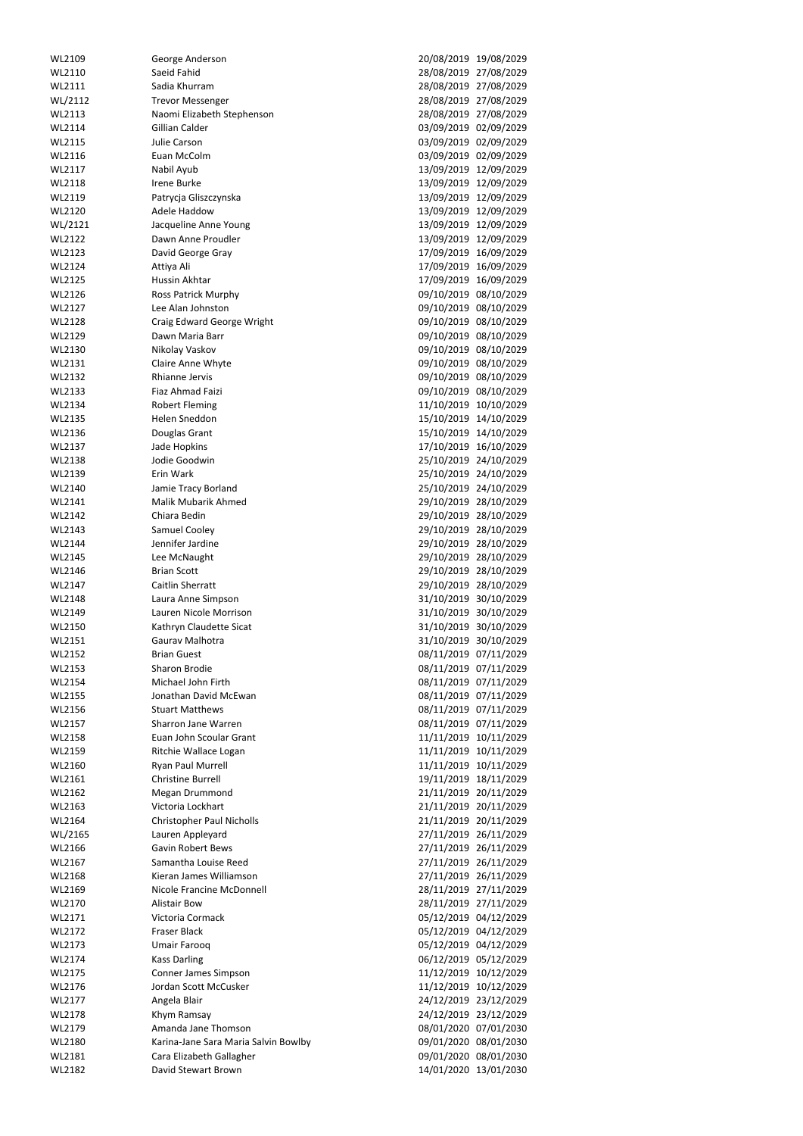| WL2109           | George Anderson                               |                       | 20/08/2019 19/08/2029                          |
|------------------|-----------------------------------------------|-----------------------|------------------------------------------------|
| WL2110           | Saeid Fahid                                   |                       | 28/08/2019 27/08/2029                          |
| WL2111           | Sadia Khurram                                 |                       | 28/08/2019 27/08/2029                          |
| WL/2112          | <b>Trevor Messenger</b>                       |                       | 28/08/2019 27/08/2029                          |
| WL2113           | Naomi Elizabeth Stephenson                    |                       | 28/08/2019 27/08/2029                          |
| WL2114           | Gillian Calder                                |                       | 03/09/2019 02/09/2029                          |
| WL2115           | Julie Carson                                  |                       | 03/09/2019 02/09/2029                          |
| WL2116           | Euan McColm                                   |                       | 03/09/2019 02/09/2029                          |
| WL2117           | Nabil Ayub                                    |                       | 13/09/2019 12/09/2029                          |
| WL2118           | <b>Irene Burke</b>                            | 13/09/2019            | 12/09/2029                                     |
| WL2119           | Patrycja Gliszczynska                         |                       | 13/09/2019 12/09/2029                          |
| WL2120           | Adele Haddow                                  | 13/09/2019            | 12/09/2029                                     |
| WL/2121          | Jacqueline Anne Young                         | 13/09/2019            | 12/09/2029                                     |
| WL2122           | Dawn Anne Proudler                            |                       | 13/09/2019 12/09/2029                          |
| WL2123           | David George Gray                             | 17/09/2019            | 16/09/2029                                     |
| WL2124           | Attiya Ali                                    |                       | 17/09/2019 16/09/2029                          |
| WL2125           | Hussin Akhtar                                 | 17/09/2019            | 16/09/2029                                     |
| WL2126           | <b>Ross Patrick Murphy</b>                    |                       | 09/10/2019 08/10/2029                          |
| WL2127           | Lee Alan Johnston                             |                       | 09/10/2019 08/10/2029                          |
| WL2128           | Craig Edward George Wright                    |                       | 09/10/2019 08/10/2029                          |
| WL2129           | Dawn Maria Barr                               |                       | 09/10/2019 08/10/2029                          |
| WL2130           | Nikolay Vaskov                                |                       | 09/10/2019 08/10/2029                          |
| WL2131           | Claire Anne Whyte                             |                       | 09/10/2019 08/10/2029                          |
| WL2132           | Rhianne Jervis                                | 09/10/2019            | 08/10/2029                                     |
| WL2133           | Fiaz Ahmad Faizi                              |                       | 09/10/2019 08/10/2029                          |
| WL2134           | <b>Robert Fleming</b>                         |                       | 11/10/2019 10/10/2029                          |
| WL2135           | Helen Sneddon                                 | 15/10/2019            | 14/10/2029                                     |
| WL2136           | Douglas Grant                                 |                       | 15/10/2019 14/10/2029                          |
| WL2137           | Jade Hopkins                                  | 17/10/2019            | 16/10/2029                                     |
| WL2138           | Jodie Goodwin                                 |                       | 25/10/2019 24/10/2029                          |
| WL2139           | Erin Wark                                     | 25/10/2019            | 24/10/2029                                     |
| WL2140           | Jamie Tracy Borland                           |                       | 25/10/2019 24/10/2029                          |
| WL2141           | Malik Mubarik Ahmed                           |                       | 29/10/2019 28/10/2029                          |
| WL2142           | Chiara Bedin                                  |                       | 29/10/2019 28/10/2029                          |
| WL2143           | Samuel Cooley                                 |                       | 29/10/2019 28/10/2029                          |
| WL2144           | Jennifer Jardine                              |                       | 29/10/2019 28/10/2029                          |
| WL2145           | Lee McNaught                                  |                       | 29/10/2019 28/10/2029                          |
| WL2146           | <b>Brian Scott</b>                            |                       | 29/10/2019 28/10/2029                          |
| WL2147           | <b>Caitlin Sherratt</b>                       |                       | 29/10/2019 28/10/2029                          |
| WL2148           | Laura Anne Simpson                            |                       | 31/10/2019 30/10/2029                          |
| WL2149           | Lauren Nicole Morrison                        |                       | 31/10/2019 30/10/2029                          |
| WL2150           | Kathryn Claudette Sicat                       |                       | 31/10/2019 30/10/2029                          |
| WL2151           | Gaurav Malhotra                               |                       | 31/10/2019 30/10/2029                          |
| WL2152           | <b>Brian Guest</b>                            |                       | 08/11/2019 07/11/2029                          |
| WL2153           | Sharon Brodie                                 |                       | 08/11/2019 07/11/2029                          |
| WL2154           | Michael John Firth                            |                       | 08/11/2019 07/11/2029                          |
| WL2155           | Jonathan David McEwan                         |                       | 08/11/2019 07/11/2029                          |
| WL2156           | <b>Stuart Matthews</b><br>Sharron Jane Warren |                       | 08/11/2019 07/11/2029                          |
| WL2157           |                                               |                       | 08/11/2019 07/11/2029                          |
| WL2158<br>WL2159 | Euan John Scoular Grant                       |                       | 11/11/2019 10/11/2029<br>11/11/2019 10/11/2029 |
| WL2160           | Ritchie Wallace Logan<br>Ryan Paul Murrell    |                       | 11/11/2019 10/11/2029                          |
| WL2161           | <b>Christine Burrell</b>                      |                       | 19/11/2019 18/11/2029                          |
| WL2162           | Megan Drummond                                |                       | 21/11/2019 20/11/2029                          |
| WL2163           | Victoria Lockhart                             |                       | 21/11/2019 20/11/2029                          |
| WL2164           | <b>Christopher Paul Nicholls</b>              |                       | 21/11/2019 20/11/2029                          |
| WL/2165          | Lauren Appleyard                              |                       | 27/11/2019 26/11/2029                          |
| WL2166           | <b>Gavin Robert Bews</b>                      |                       | 27/11/2019 26/11/2029                          |
| WL2167           | Samantha Louise Reed                          |                       | 27/11/2019 26/11/2029                          |
| WL2168           | Kieran James Williamson                       |                       | 27/11/2019 26/11/2029                          |
| WL2169           | Nicole Francine McDonnell                     |                       | 28/11/2019 27/11/2029                          |
| WL2170           | <b>Alistair Bow</b>                           |                       | 28/11/2019 27/11/2029                          |
| WL2171           | Victoria Cormack                              |                       | 05/12/2019 04/12/2029                          |
| WL2172           | <b>Fraser Black</b>                           |                       | 05/12/2019 04/12/2029                          |
| WL2173           | <b>Umair Farooq</b>                           |                       | 05/12/2019 04/12/2029                          |
| WL2174           | <b>Kass Darling</b>                           |                       | 06/12/2019 05/12/2029                          |
| WL2175           | Conner James Simpson                          |                       | 11/12/2019 10/12/2029                          |
| WL2176           | Jordan Scott McCusker                         |                       | 11/12/2019 10/12/2029                          |
| WL2177           | Angela Blair                                  |                       | 24/12/2019 23/12/2029                          |
| WL2178           | Khym Ramsay                                   |                       | 24/12/2019 23/12/2029                          |
| WL2179           | Amanda Jane Thomson                           |                       | 08/01/2020 07/01/2030                          |
| WL2180           | Karina-Jane Sara Maria Salvin Bowlby          |                       | 09/01/2020 08/01/2030                          |
| WL2181           |                                               | 09/01/2020 08/01/2030 |                                                |
|                  | Cara Elizabeth Gallagher                      |                       |                                                |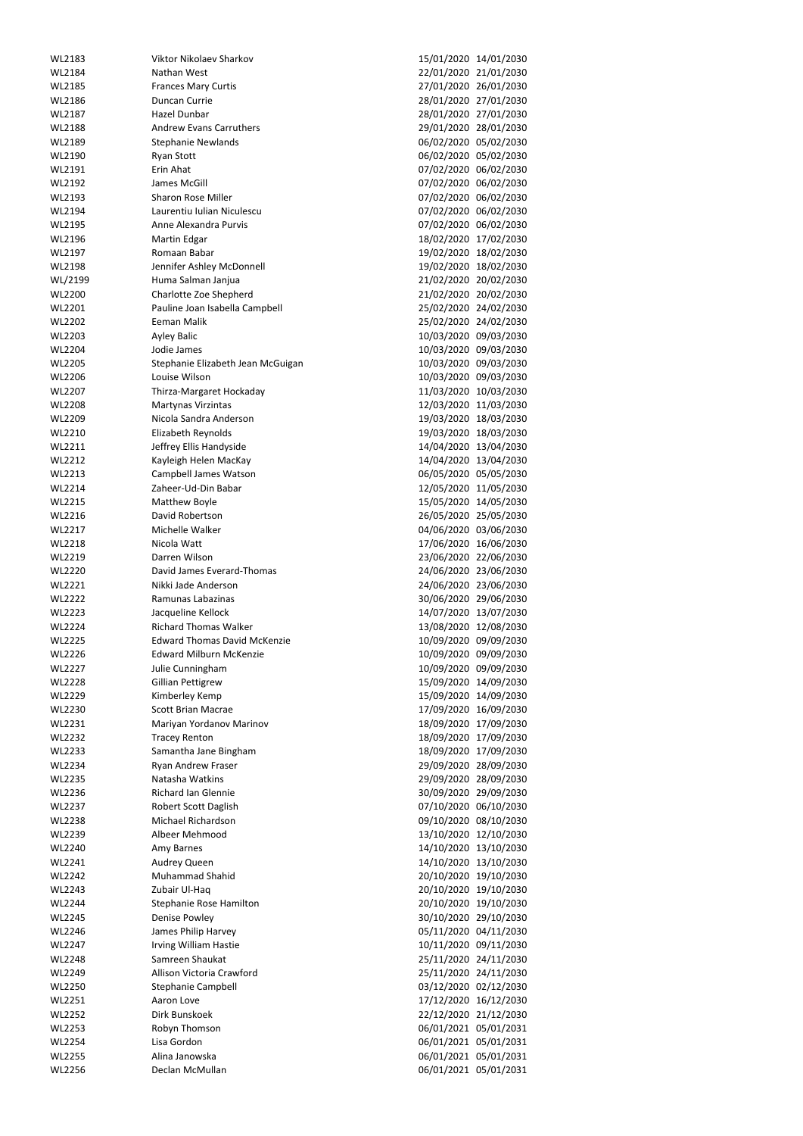| WL2183        | Viktor Nikolaev Sharkov             |                       | 15/01/2020 14/01/2030 |
|---------------|-------------------------------------|-----------------------|-----------------------|
| WL2184        | Nathan West                         |                       | 22/01/2020 21/01/2030 |
| WL2185        | <b>Frances Mary Curtis</b>          |                       | 27/01/2020 26/01/2030 |
| WL2186        | Duncan Currie                       |                       | 28/01/2020 27/01/2030 |
| WL2187        | Hazel Dunbar                        |                       | 28/01/2020 27/01/2030 |
| WL2188        | <b>Andrew Evans Carruthers</b>      |                       | 29/01/2020 28/01/2030 |
| WL2189        | <b>Stephanie Newlands</b>           |                       | 06/02/2020 05/02/2030 |
| WL2190        | <b>Ryan Stott</b>                   |                       | 06/02/2020 05/02/2030 |
| WL2191        | Erin Ahat                           |                       | 07/02/2020 06/02/2030 |
| WL2192        | James McGill                        |                       | 07/02/2020 06/02/2030 |
| WL2193        | <b>Sharon Rose Miller</b>           |                       | 07/02/2020 06/02/2030 |
|               | Laurentiu Iulian Niculescu          |                       | 07/02/2020 06/02/2030 |
| WL2194        |                                     |                       |                       |
| WL2195        | Anne Alexandra Purvis               |                       | 07/02/2020 06/02/2030 |
| WL2196        | Martin Edgar                        |                       | 18/02/2020 17/02/2030 |
| WL2197        | Romaan Babar                        |                       | 19/02/2020 18/02/2030 |
| WL2198        | Jennifer Ashley McDonnell           |                       | 19/02/2020 18/02/2030 |
| WL/2199       | Huma Salman Janjua                  |                       | 21/02/2020 20/02/2030 |
| WL2200        | <b>Charlotte Zoe Shepherd</b>       |                       | 21/02/2020 20/02/2030 |
| WL2201        | Pauline Joan Isabella Campbell      |                       | 25/02/2020 24/02/2030 |
| WL2202        | Eeman Malik                         |                       | 25/02/2020 24/02/2030 |
| WL2203        | <b>Ayley Balic</b>                  |                       | 10/03/2020 09/03/2030 |
| WL2204        | Jodie James                         |                       | 10/03/2020 09/03/2030 |
| WL2205        | Stephanie Elizabeth Jean McGuigan   |                       | 10/03/2020 09/03/2030 |
| WL2206        | Louise Wilson                       |                       | 10/03/2020 09/03/2030 |
| WL2207        | Thirza-Margaret Hockaday            |                       | 11/03/2020 10/03/2030 |
| WL2208        | <b>Martynas Virzintas</b>           |                       | 12/03/2020 11/03/2030 |
| WL2209        | Nicola Sandra Anderson              |                       | 19/03/2020 18/03/2030 |
| WL2210        | Elizabeth Reynolds                  |                       | 19/03/2020 18/03/2030 |
| WL2211        | Jeffrey Ellis Handyside             |                       | 14/04/2020 13/04/2030 |
| WL2212        | Kayleigh Helen MacKay               |                       | 14/04/2020 13/04/2030 |
| WL2213        | <b>Campbell James Watson</b>        |                       | 06/05/2020 05/05/2030 |
| WL2214        | Zaheer-Ud-Din Babar                 |                       | 12/05/2020 11/05/2030 |
| WL2215        | Matthew Boyle                       |                       | 15/05/2020 14/05/2030 |
| WL2216        | David Robertson                     |                       | 26/05/2020 25/05/2030 |
| WL2217        | Michelle Walker                     |                       | 04/06/2020 03/06/2030 |
| WL2218        | Nicola Watt                         |                       | 17/06/2020 16/06/2030 |
| WL2219        | Darren Wilson                       |                       | 23/06/2020 22/06/2030 |
|               | David James Everard-Thomas          |                       |                       |
| WL2220        |                                     |                       | 24/06/2020 23/06/2030 |
| WL2221        | Nikki Jade Anderson                 |                       | 24/06/2020 23/06/2030 |
| <b>WL2222</b> | Ramunas Labazinas                   |                       | 30/06/2020 29/06/2030 |
| WL2223        | Jacqueline Kellock                  |                       | 14/07/2020 13/07/2030 |
| WL2224        | <b>Richard Thomas Walker</b>        |                       | 13/08/2020 12/08/2030 |
| WL2225        | <b>Edward Thomas David McKenzie</b> |                       | 10/09/2020 09/09/2030 |
| WL2226        | <b>Edward Milburn McKenzie</b>      |                       | 10/09/2020 09/09/2030 |
| WL2227        | Julie Cunningham                    |                       | 10/09/2020 09/09/2030 |
| WL2228        | <b>Gillian Pettigrew</b>            |                       | 15/09/2020 14/09/2030 |
| WL2229        | Kimberley Kemp                      |                       | 15/09/2020 14/09/2030 |
| WL2230        | <b>Scott Brian Macrae</b>           |                       | 17/09/2020 16/09/2030 |
| WL2231        | Mariyan Yordanov Marinov            |                       | 18/09/2020 17/09/2030 |
| WL2232        | <b>Tracey Renton</b>                |                       | 18/09/2020 17/09/2030 |
| WL2233        | Samantha Jane Bingham               |                       | 18/09/2020 17/09/2030 |
| WL2234        | Ryan Andrew Fraser                  |                       | 29/09/2020 28/09/2030 |
| WL2235        | Natasha Watkins                     |                       | 29/09/2020 28/09/2030 |
| WL2236        | <b>Richard Ian Glennie</b>          |                       | 30/09/2020 29/09/2030 |
| WL2237        | Robert Scott Daglish                |                       | 07/10/2020 06/10/2030 |
| WL2238        | Michael Richardson                  |                       | 09/10/2020 08/10/2030 |
| WL2239        | Albeer Mehmood                      |                       | 13/10/2020 12/10/2030 |
| WL2240        | Amy Barnes                          |                       | 14/10/2020 13/10/2030 |
| WL2241        | Audrey Queen                        |                       | 14/10/2020 13/10/2030 |
| WL2242        | <b>Muhammad Shahid</b>              |                       | 20/10/2020 19/10/2030 |
| WL2243        | Zubair Ul-Haq                       |                       | 20/10/2020 19/10/2030 |
| WL2244        | <b>Stephanie Rose Hamilton</b>      |                       | 20/10/2020 19/10/2030 |
| <b>WL2245</b> | Denise Powley                       |                       | 30/10/2020 29/10/2030 |
| WL2246        | James Philip Harvey                 |                       | 05/11/2020 04/11/2030 |
| WL2247        | Irving William Hastie               |                       | 10/11/2020 09/11/2030 |
| WL2248        | Samreen Shaukat                     |                       |                       |
|               |                                     |                       | 25/11/2020 24/11/2030 |
| WL2249        | Allison Victoria Crawford           |                       | 25/11/2020 24/11/2030 |
| WL2250        | <b>Stephanie Campbell</b>           |                       | 03/12/2020 02/12/2030 |
| WL2251        | Aaron Love                          |                       | 17/12/2020 16/12/2030 |
| WL2252        | Dirk Bunskoek                       |                       | 22/12/2020 21/12/2030 |
| WL2253        | Robyn Thomson                       |                       | 06/01/2021 05/01/2031 |
| WL2254        | Lisa Gordon                         |                       | 06/01/2021 05/01/2031 |
| WL2255        | Alina Janowska                      |                       | 06/01/2021 05/01/2031 |
| WL2256        | Declan McMullan                     | 06/01/2021 05/01/2031 |                       |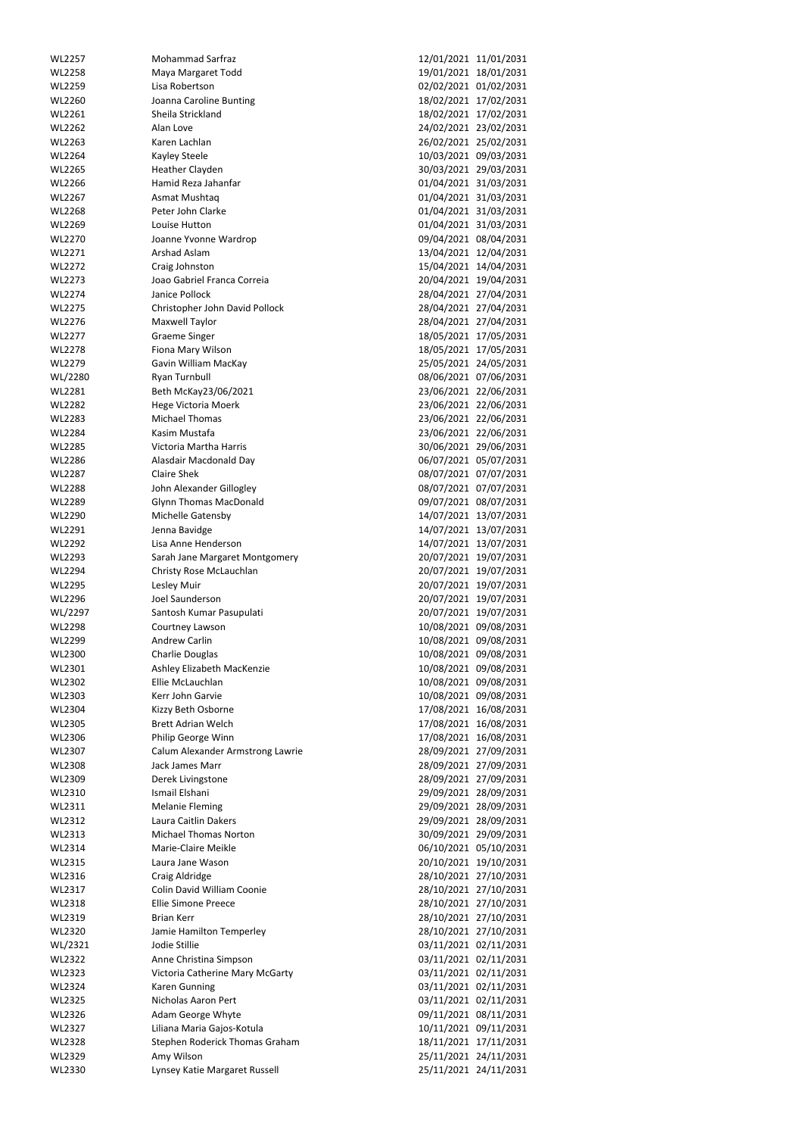| WL2257        | <b>Mohammad Sarfraz</b>          | 12/01/2021 11/01/2031 |
|---------------|----------------------------------|-----------------------|
| <b>WL2258</b> | Maya Margaret Todd               | 19/01/2021 18/01/2031 |
| WL2259        | Lisa Robertson                   | 02/02/2021 01/02/2031 |
|               |                                  |                       |
| WL2260        | Joanna Caroline Bunting          | 18/02/2021 17/02/2031 |
| WL2261        | Sheila Strickland                | 18/02/2021 17/02/2031 |
| WL2262        | Alan Love                        | 24/02/2021 23/02/2031 |
| WL2263        | Karen Lachlan                    | 26/02/2021 25/02/2031 |
| WL2264        | Kayley Steele                    | 10/03/2021 09/03/2031 |
| WL2265        | Heather Clayden                  | 30/03/2021 29/03/2031 |
| WL2266        | Hamid Reza Jahanfar              | 01/04/2021 31/03/2031 |
|               |                                  |                       |
| WL2267        | Asmat Mushtaq                    | 01/04/2021 31/03/2031 |
| WL2268        | Peter John Clarke                | 01/04/2021 31/03/2031 |
| WL2269        | Louise Hutton                    | 01/04/2021 31/03/2031 |
| WL2270        | Joanne Yvonne Wardrop            | 09/04/2021 08/04/2031 |
| WL2271        | <b>Arshad Aslam</b>              | 13/04/2021 12/04/2031 |
| WL2272        | Craig Johnston                   | 15/04/2021 14/04/2031 |
|               |                                  |                       |
| WL2273        | Joao Gabriel Franca Correia      | 20/04/2021 19/04/2031 |
| WL2274        | Janice Pollock                   | 28/04/2021 27/04/2031 |
| WL2275        | Christopher John David Pollock   | 28/04/2021 27/04/2031 |
| WL2276        | Maxwell Taylor                   | 28/04/2021 27/04/2031 |
| WL2277        | <b>Graeme Singer</b>             | 18/05/2021 17/05/2031 |
| WL2278        | Fiona Mary Wilson                | 18/05/2021 17/05/2031 |
| WL2279        | Gavin William MacKay             | 25/05/2021 24/05/2031 |
|               |                                  |                       |
| WL/2280       | Ryan Turnbull                    | 08/06/2021 07/06/2031 |
| WL2281        | Beth McKay23/06/2021             | 23/06/2021 22/06/2031 |
| WL2282        | Hege Victoria Moerk              | 23/06/2021 22/06/2031 |
| WL2283        | <b>Michael Thomas</b>            | 23/06/2021 22/06/2031 |
| WL2284        | Kasim Mustafa                    | 23/06/2021 22/06/2031 |
| WL2285        | Victoria Martha Harris           | 30/06/2021 29/06/2031 |
|               |                                  |                       |
| WL2286        | Alasdair Macdonald Day           | 06/07/2021 05/07/2031 |
| <b>WL2287</b> | <b>Claire Shek</b>               | 08/07/2021 07/07/2031 |
| <b>WL2288</b> | John Alexander Gillogley         | 08/07/2021 07/07/2031 |
| WL2289        | <b>Glynn Thomas MacDonald</b>    | 09/07/2021 08/07/2031 |
| WL2290        | Michelle Gatensby                | 14/07/2021 13/07/2031 |
| WL2291        | Jenna Bavidge                    | 14/07/2021 13/07/2031 |
| WL2292        | Lisa Anne Henderson              | 14/07/2021 13/07/2031 |
|               |                                  |                       |
|               |                                  |                       |
| WL2293        | Sarah Jane Margaret Montgomery   | 20/07/2021 19/07/2031 |
| WL2294        | Christy Rose McLauchlan          | 20/07/2021 19/07/2031 |
| WL2295        | Lesley Muir                      | 20/07/2021 19/07/2031 |
| WL2296        | Joel Saunderson                  | 20/07/2021 19/07/2031 |
|               |                                  |                       |
| WL/2297       | Santosh Kumar Pasupulati         | 20/07/2021 19/07/2031 |
| WL2298        | Courtney Lawson                  | 10/08/2021 09/08/2031 |
| WL2299        | <b>Andrew Carlin</b>             | 10/08/2021 09/08/2031 |
| WL2300        | Charlie Douglas                  | 10/08/2021 09/08/2031 |
| WL2301        | Ashley Elizabeth MacKenzie       | 10/08/2021 09/08/2031 |
| WL2302        | Ellie McLauchlan                 | 10/08/2021 09/08/2031 |
| WL2303        | Kerr John Garvie                 |                       |
|               |                                  | 10/08/2021 09/08/2031 |
| WL2304        | Kizzy Beth Osborne               | 17/08/2021 16/08/2031 |
| WL2305        | <b>Brett Adrian Welch</b>        | 17/08/2021 16/08/2031 |
| WL2306        | Philip George Winn               | 17/08/2021 16/08/2031 |
| WL2307        | Calum Alexander Armstrong Lawrie | 28/09/2021 27/09/2031 |
| WL2308        | Jack James Marr                  | 28/09/2021 27/09/2031 |
| WL2309        | Derek Livingstone                | 28/09/2021 27/09/2031 |
|               |                                  |                       |
| WL2310        | Ismail Elshani                   | 29/09/2021 28/09/2031 |
| WL2311        | <b>Melanie Fleming</b>           | 29/09/2021 28/09/2031 |
| WL2312        | Laura Caitlin Dakers             | 29/09/2021 28/09/2031 |
| WL2313        | <b>Michael Thomas Norton</b>     | 30/09/2021 29/09/2031 |
| WL2314        | Marie-Claire Meikle              | 06/10/2021 05/10/2031 |
| WL2315        | Laura Jane Wason                 | 20/10/2021 19/10/2031 |
| WL2316        |                                  |                       |
|               | Craig Aldridge                   | 28/10/2021 27/10/2031 |
| WL2317        | Colin David William Coonie       | 28/10/2021 27/10/2031 |
| WL2318        | <b>Ellie Simone Preece</b>       | 28/10/2021 27/10/2031 |
| WL2319        | <b>Brian Kerr</b>                | 28/10/2021 27/10/2031 |
| WL2320        | Jamie Hamilton Temperley         | 28/10/2021 27/10/2031 |
| WL/2321       | Jodie Stillie                    | 03/11/2021 02/11/2031 |
| WL2322        | Anne Christina Simpson           | 03/11/2021 02/11/2031 |
|               |                                  |                       |
| WL2323        | Victoria Catherine Mary McGarty  | 03/11/2021 02/11/2031 |
| WL2324        | <b>Karen Gunning</b>             | 03/11/2021 02/11/2031 |
| WL2325        | Nicholas Aaron Pert              | 03/11/2021 02/11/2031 |
| WL2326        | Adam George Whyte                | 09/11/2021 08/11/2031 |
| WL2327        | Liliana Maria Gajos-Kotula       | 10/11/2021 09/11/2031 |
| WL2328        | Stephen Roderick Thomas Graham   | 18/11/2021 17/11/2031 |
| WL2329        | Amy Wilson                       | 25/11/2021 24/11/2031 |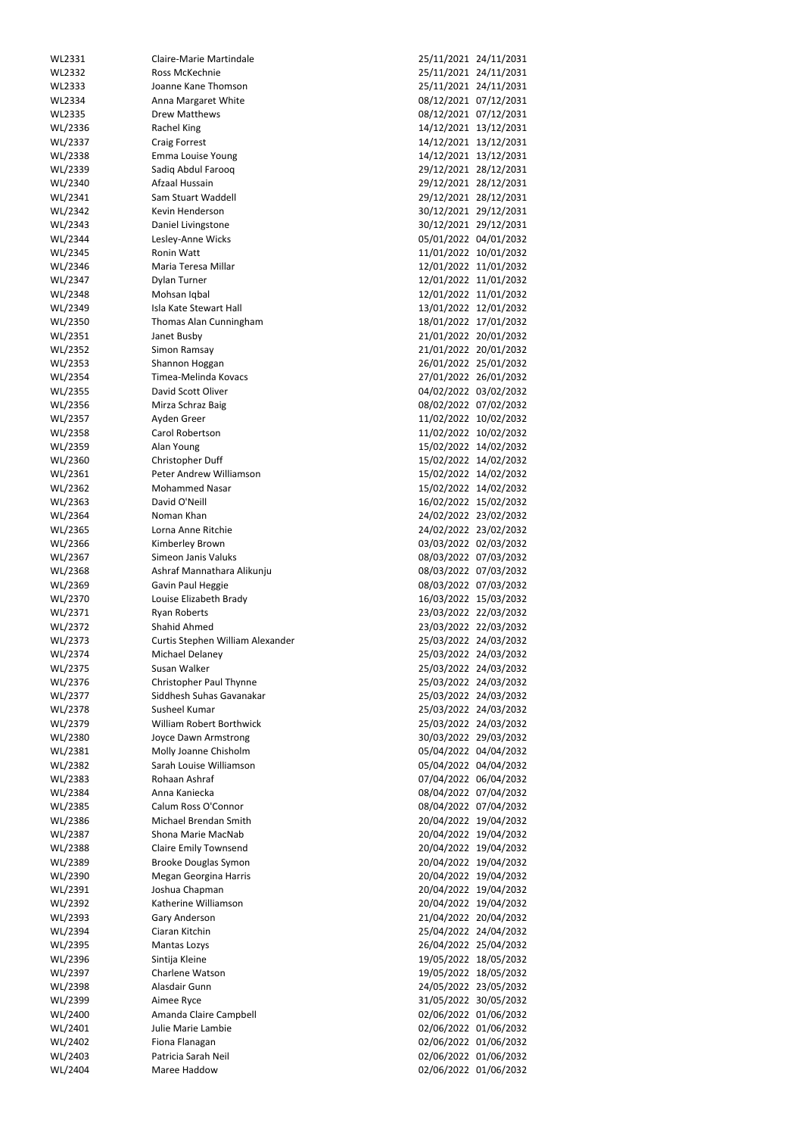| WL2331  | <b>Claire-Marie Martindale</b>   | 25/11/2021 24/11/2031 |                       |
|---------|----------------------------------|-----------------------|-----------------------|
| WL2332  | Ross McKechnie                   |                       | 25/11/2021 24/11/2031 |
|         |                                  |                       |                       |
| WL2333  | Joanne Kane Thomson              |                       | 25/11/2021 24/11/2031 |
| WL2334  | Anna Margaret White              |                       | 08/12/2021 07/12/2031 |
| WL2335  | <b>Drew Matthews</b>             |                       | 08/12/2021 07/12/2031 |
| WL/2336 | Rachel King                      |                       | 14/12/2021 13/12/2031 |
| WL/2337 | <b>Craig Forrest</b>             |                       | 14/12/2021 13/12/2031 |
| WL/2338 | Emma Louise Young                |                       | 14/12/2021 13/12/2031 |
|         |                                  |                       |                       |
| WL/2339 | Sadiq Abdul Farooq               |                       | 29/12/2021 28/12/2031 |
| WL/2340 | Afzaal Hussain                   |                       | 29/12/2021 28/12/2031 |
| WL/2341 | Sam Stuart Waddell               |                       | 29/12/2021 28/12/2031 |
| WL/2342 | Kevin Henderson                  |                       | 30/12/2021 29/12/2031 |
| WL/2343 | Daniel Livingstone               |                       | 30/12/2021 29/12/2031 |
| WL/2344 | Lesley-Anne Wicks                |                       | 05/01/2022 04/01/2032 |
| WL/2345 | <b>Ronin Watt</b>                |                       | 11/01/2022 10/01/2032 |
| WL/2346 | Maria Teresa Millar              |                       | 12/01/2022 11/01/2032 |
|         |                                  |                       |                       |
| WL/2347 | Dylan Turner                     |                       | 12/01/2022 11/01/2032 |
| WL/2348 | Mohsan Iqbal                     |                       | 12/01/2022 11/01/2032 |
| WL/2349 | Isla Kate Stewart Hall           |                       | 13/01/2022 12/01/2032 |
| WL/2350 | Thomas Alan Cunningham           |                       | 18/01/2022 17/01/2032 |
| WL/2351 | Janet Busby                      |                       | 21/01/2022 20/01/2032 |
| WL/2352 | Simon Ramsay                     |                       | 21/01/2022 20/01/2032 |
| WL/2353 | Shannon Hoggan                   |                       | 26/01/2022 25/01/2032 |
| WL/2354 | Timea-Melinda Kovacs             |                       | 27/01/2022 26/01/2032 |
|         |                                  |                       |                       |
| WL/2355 | David Scott Oliver               |                       | 04/02/2022 03/02/2032 |
| WL/2356 | Mirza Schraz Baig                |                       | 08/02/2022 07/02/2032 |
| WL/2357 | Ayden Greer                      |                       | 11/02/2022 10/02/2032 |
| WL/2358 | Carol Robertson                  |                       | 11/02/2022 10/02/2032 |
| WL/2359 | Alan Young                       |                       | 15/02/2022 14/02/2032 |
| WL/2360 | Christopher Duff                 |                       | 15/02/2022 14/02/2032 |
| WL/2361 | Peter Andrew Williamson          |                       | 15/02/2022 14/02/2032 |
| WL/2362 | <b>Mohammed Nasar</b>            |                       | 15/02/2022 14/02/2032 |
|         |                                  |                       |                       |
| WL/2363 | David O'Neill                    |                       | 16/02/2022 15/02/2032 |
| WL/2364 | Noman Khan                       |                       | 24/02/2022 23/02/2032 |
| WL/2365 | Lorna Anne Ritchie               |                       | 24/02/2022 23/02/2032 |
| WL/2366 | Kimberley Brown                  |                       | 03/03/2022 02/03/2032 |
| WL/2367 | Simeon Janis Valuks              |                       | 08/03/2022 07/03/2032 |
|         | Ashraf Mannathara Alikunju       | 08/03/2022 07/03/2032 |                       |
|         |                                  |                       |                       |
| WL/2368 |                                  |                       |                       |
| WL/2369 | Gavin Paul Heggie                |                       | 08/03/2022 07/03/2032 |
| WL/2370 | Louise Elizabeth Brady           |                       | 16/03/2022 15/03/2032 |
| WL/2371 | <b>Ryan Roberts</b>              |                       | 23/03/2022 22/03/2032 |
| WL/2372 | Shahid Ahmed                     |                       | 23/03/2022 22/03/2032 |
| WL/2373 | Curtis Stephen William Alexander |                       | 25/03/2022 24/03/2032 |
| WL/2374 | Michael Delaney                  |                       | 25/03/2022 24/03/2032 |
| WL/2375 | Susan Walker                     |                       | 25/03/2022 24/03/2032 |
| WL/2376 |                                  |                       | 25/03/2022 24/03/2032 |
|         | Christopher Paul Thynne          |                       |                       |
| WL/2377 | Siddhesh Suhas Gavanakar         |                       | 25/03/2022 24/03/2032 |
| WL/2378 | Susheel Kumar                    |                       | 25/03/2022 24/03/2032 |
| WL/2379 | William Robert Borthwick         |                       | 25/03/2022 24/03/2032 |
| WL/2380 | Joyce Dawn Armstrong             |                       | 30/03/2022 29/03/2032 |
| WL/2381 | Molly Joanne Chisholm            |                       | 05/04/2022 04/04/2032 |
| WL/2382 | Sarah Louise Williamson          |                       | 05/04/2022 04/04/2032 |
| WL/2383 | Rohaan Ashraf                    |                       | 07/04/2022 06/04/2032 |
| WL/2384 | Anna Kaniecka                    |                       | 08/04/2022 07/04/2032 |
| WL/2385 | Calum Ross O'Connor              |                       | 08/04/2022 07/04/2032 |
|         |                                  |                       |                       |
| WL/2386 | Michael Brendan Smith            |                       | 20/04/2022 19/04/2032 |
| WL/2387 | Shona Marie MacNab               |                       | 20/04/2022 19/04/2032 |
| WL/2388 | <b>Claire Emily Townsend</b>     |                       | 20/04/2022 19/04/2032 |
| WL/2389 | <b>Brooke Douglas Symon</b>      |                       | 20/04/2022 19/04/2032 |
| WL/2390 | Megan Georgina Harris            |                       | 20/04/2022 19/04/2032 |
| WL/2391 | Joshua Chapman                   |                       | 20/04/2022 19/04/2032 |
| WL/2392 | Katherine Williamson             |                       | 20/04/2022 19/04/2032 |
| WL/2393 | Gary Anderson                    |                       | 21/04/2022 20/04/2032 |
| WL/2394 | Ciaran Kitchin                   |                       | 25/04/2022 24/04/2032 |
| WL/2395 | Mantas Lozys                     |                       | 26/04/2022 25/04/2032 |
|         |                                  |                       |                       |
| WL/2396 | Sintija Kleine                   |                       | 19/05/2022 18/05/2032 |
| WL/2397 | Charlene Watson                  |                       | 19/05/2022 18/05/2032 |
| WL/2398 | Alasdair Gunn                    |                       | 24/05/2022 23/05/2032 |
| WL/2399 | Aimee Ryce                       |                       | 31/05/2022 30/05/2032 |
| WL/2400 | Amanda Claire Campbell           |                       | 02/06/2022 01/06/2032 |
| WL/2401 | Julie Marie Lambie               |                       | 02/06/2022 01/06/2032 |
| WL/2402 | Fiona Flanagan                   |                       | 02/06/2022 01/06/2032 |
| WL/2403 | Patricia Sarah Neil              |                       | 02/06/2022 01/06/2032 |